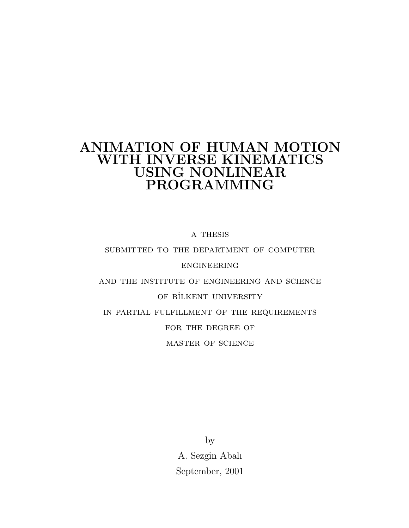## ANIMATION OF HUMAN MOTION WITH INVERSE KINEMATICS USING NONLINEAR PROGRAMMING

a thesis

#### submitted to the department of computer

#### engineering

and the institute of engineering and science OF BİLKENT UNIVERSITY in partial fulfillment of the requirements FOR THE DEGREE OF master of science

> by A. Sezgin Abalı September, 2001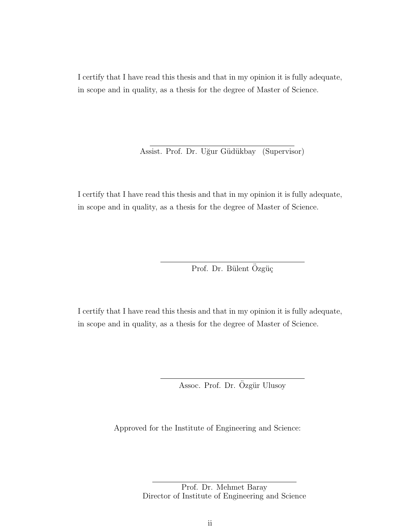I certify that I have read this thesis and that in my opinion it is fully adequate, in scope and in quality, as a thesis for the degree of Master of Science.

Assist. Prof. Dr. Uğur Güdükbay (Supervisor)

I certify that I have read this thesis and that in my opinion it is fully adequate, in scope and in quality, as a thesis for the degree of Master of Science.

Prof. Dr. Bülent Özgüç

I certify that I have read this thesis and that in my opinion it is fully adequate, in scope and in quality, as a thesis for the degree of Master of Science.

Assoc. Prof. Dr. Özgür Ulusoy

Approved for the Institute of Engineering and Science:

Prof. Dr. Mehmet Baray Director of Institute of Engineering and Science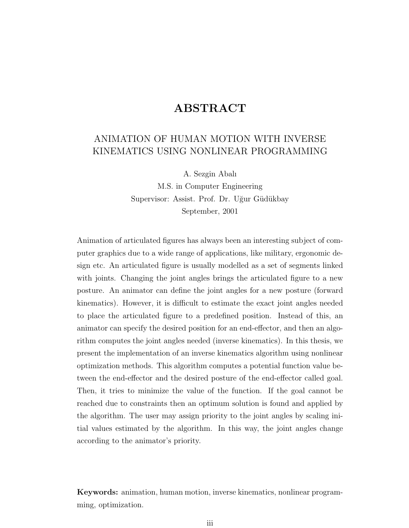### ABSTRACT

### ANIMATION OF HUMAN MOTION WITH INVERSE KINEMATICS USING NONLINEAR PROGRAMMING

A. Sezgin Abalı

M.S. in Computer Engineering Supervisor: Assist. Prof. Dr. Uğur Güdükbay September, 2001

Animation of articulated figures has always been an interesting subject of computer graphics due to a wide range of applications, like military, ergonomic design etc. An articulated figure is usually modelled as a set of segments linked with joints. Changing the joint angles brings the articulated figure to a new posture. An animator can define the joint angles for a new posture (forward kinematics). However, it is difficult to estimate the exact joint angles needed to place the articulated figure to a predefined position. Instead of this, an animator can specify the desired position for an end-effector, and then an algorithm computes the joint angles needed (inverse kinematics). In this thesis, we present the implementation of an inverse kinematics algorithm using nonlinear optimization methods. This algorithm computes a potential function value between the end-effector and the desired posture of the end-effector called goal. Then, it tries to minimize the value of the function. If the goal cannot be reached due to constraints then an optimum solution is found and applied by the algorithm. The user may assign priority to the joint angles by scaling initial values estimated by the algorithm. In this way, the joint angles change according to the animator's priority.

Keywords: animation, human motion, inverse kinematics, nonlinear programming, optimization.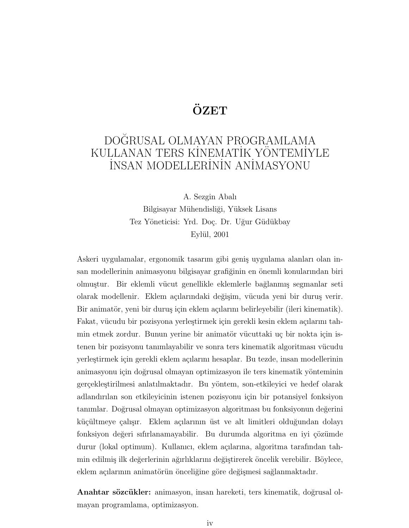## ÖZET

## DOĞRUSAL OLMAYAN PROGRAMLAMA KULLANAN TERS KİNEMATİK YÖNTEMİYLE İNSAN MODELLERİNİN ANİMASYONU

A. Sezgin Abalı Bilgisayar Mühendisliği, Yüksek Lisans Tez Yöneticisi: Yrd. Doç. Dr. Uğur Güdükbay Eylül,  $2001$ 

Askeri uygulamalar, ergonomik tasarım gibi geniş uygulama alanları olan insan modellerinin animasyonu bilgisayar grafiğinin en önemli konularından biri olmuştur. Bir eklemli vücut genellikle eklemlerle bağlanmış segmanlar seti olarak modellenir. Eklem açılarındaki değişim, vücuda yeni bir duruş verir. Bir animatör, yeni bir duruş için eklem açılarını belirleyebilir (ileri kinematik). Fakat, vücudu bir pozisyona yerleştirmek için gerekli kesin eklem açılarını tahmin etmek zordur. Bunun yerine bir animatör vücuttaki uç bir nokta için istenen bir pozisyonu tanımlayabilir ve sonra ters kinematik algoritması vücudu yerleştirmek için gerekli eklem açılarını hesaplar. Bu tezde, insan modellerinin animasyonu için doğrusal olmayan optimizasyon ile ters kinematik yönteminin gerçekleştirilmesi anlatılmaktadır. Bu yöntem, son-etkileyici ve hedef olarak adlandırılan son etkileyicinin istenen pozisyonu için bir potansiyel fonksiyon tanımlar. Doğrusal olmayan optimizasyon algoritması bu fonksiyonun değerini küçültmeye çalışır. Eklem açılarının üst ve alt limitleri olduğundan dolayı fonksiyon değeri sıfırlanamayabilir. Bu durumda algoritma en iyi çözümde durur (lokal optimum). Kullanıcı, eklem açılarına, algoritma tarafından tahmin edilmiş ilk değerlerinin ağırlıklarını değiştirerek öncelik verebilir. Böylece, eklem açılarının animatörün önceliğine göre değişmesi sağlanmaktadır.

Anahtar sözcükler: animasyon, insan hareketi, ters kinematik, doğrusal olmayan programlama, optimizasyon.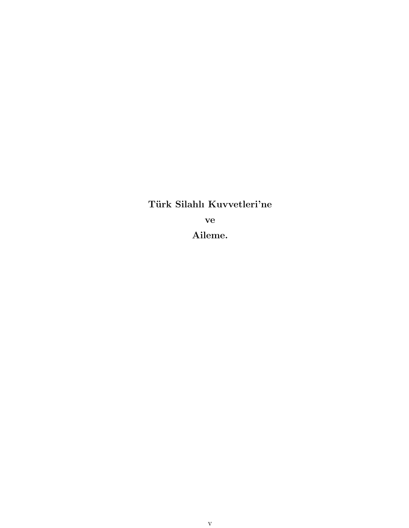Türk Silahlı Kuvvetleri'ne ve Aileme.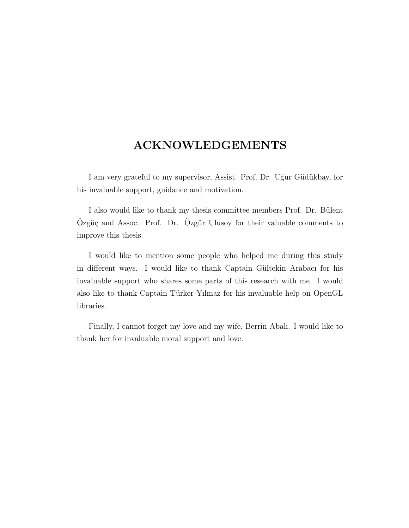### ACKNOWLEDGEMENTS

I am very grateful to my supervisor, Assist. Prof. Dr. Uğur Güdükbay, for his invaluable support, guidance and motivation.

I also would like to thank my thesis committee members Prof. Dr. Bülent Özgüç and Assoc. Prof. Dr. Ozgür Ulusoy for their valuable comments to improve this thesis.

I would like to mention some people who helped me during this study in different ways. I would like to thank Captain Gültekin Arabacı for his invaluable support who shares some parts of this research with me. I would also like to thank Captain Türker Yılmaz for his invaluable help on OpenGL libraries.

Finally, I cannot forget my love and my wife, Berrin Abalı. I would like to thank her for invaluable moral support and love.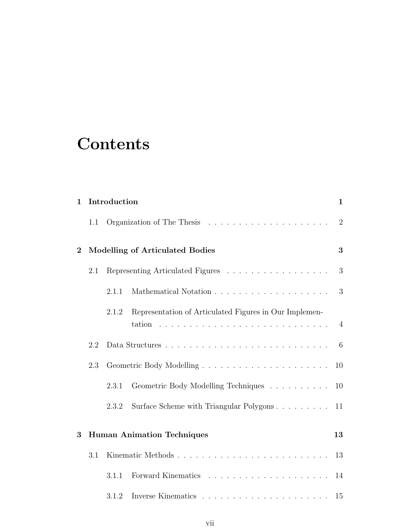# **Contents**

| $\mathbf{1}$     |     | Introduction |                                                        | $\mathbf{1}$   |
|------------------|-----|--------------|--------------------------------------------------------|----------------|
|                  | 1.1 |              |                                                        | $\overline{2}$ |
| $\boldsymbol{2}$ |     |              | <b>Modelling of Articulated Bodies</b>                 | 3              |
|                  | 2.1 |              | Representing Articulated Figures                       | 3              |
|                  |     | 2.1.1        |                                                        | 3              |
|                  |     | 2.1.2        | Representation of Articulated Figures in Our Implemen- | $\overline{4}$ |
|                  | 2.2 |              |                                                        | $-6$           |
|                  | 2.3 |              |                                                        | 10             |
|                  |     | 2.3.1        | Geometric Body Modelling Techniques                    | 10             |
|                  |     | 2.3.2        | Surface Scheme with Triangular Polygons                | 11             |
| 3                |     |              | <b>Human Animation Techniques</b>                      | 13             |
|                  | 3.1 |              |                                                        | 13             |
|                  |     | 3.1.1        |                                                        | 14             |
|                  |     | 3.1.2        |                                                        | 15             |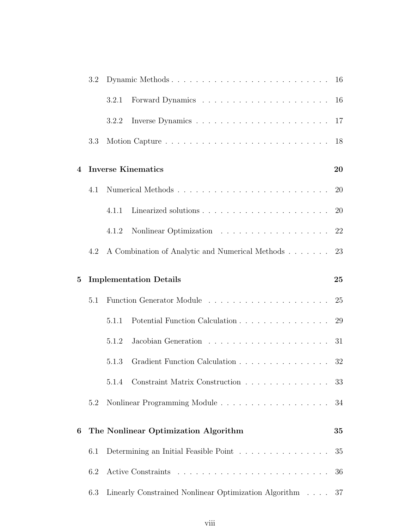|                | 3.2 |       |                                                                                                |    |
|----------------|-----|-------|------------------------------------------------------------------------------------------------|----|
|                |     | 3.2.1 |                                                                                                |    |
|                |     | 3.2.2 |                                                                                                |    |
|                | 3.3 |       |                                                                                                | 18 |
| $\overline{4}$ |     |       | <b>Inverse Kinematics</b>                                                                      | 20 |
|                | 4.1 |       |                                                                                                | 20 |
|                |     | 4.1.1 |                                                                                                | 20 |
|                |     | 4.1.2 |                                                                                                | 22 |
|                | 4.2 |       | A Combination of Analytic and Numerical Methods 23                                             |    |
| $\bf{5}$       |     |       | <b>Implementation Details</b>                                                                  | 25 |
|                |     |       |                                                                                                |    |
|                | 5.1 |       |                                                                                                |    |
|                |     | 5.1.1 | Potential Function Calculation 29                                                              |    |
|                |     | 5.1.2 |                                                                                                | 31 |
|                |     | 5.1.3 | Gradient Function Calculation 32                                                               |    |
|                |     |       | 5.1.4 Constraint Matrix Construction                                                           | 33 |
|                | 5.2 |       |                                                                                                | 34 |
| 6              |     |       | The Nonlinear Optimization Algorithm                                                           | 35 |
|                | 6.1 |       | Determining an Initial Feasible Point $\hfill\ldots\ldots\ldots\ldots\ldots\ldots\ldots\ldots$ | 35 |
|                | 6.2 |       |                                                                                                | 36 |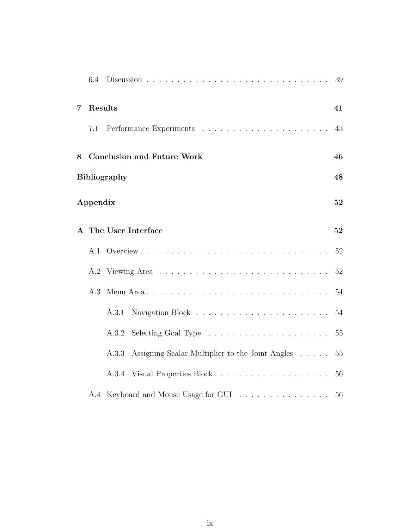|                | 6.4      |                                                                          | 39 |
|----------------|----------|--------------------------------------------------------------------------|----|
| $\overline{7}$ | Results  |                                                                          | 41 |
|                | 7.1      |                                                                          | 43 |
| 8              |          | <b>Conclusion and Future Work</b>                                        | 46 |
|                |          | <b>Bibliography</b>                                                      | 48 |
|                | Appendix |                                                                          | 52 |
|                |          | A The User Interface                                                     | 52 |
|                |          |                                                                          | 52 |
|                |          |                                                                          | 52 |
|                | A.3      |                                                                          | 54 |
|                |          | A.3.1                                                                    | 54 |
|                |          | Selecting Goal Type $\dots \dots \dots \dots \dots \dots \dots$<br>A.3.2 | 55 |
|                |          | Assigning Scalar Multiplier to the Joint Angles<br>A.3.3                 | 55 |
|                |          |                                                                          | 56 |
|                |          | A.4 Keyboard and Mouse Usage for GUI                                     | 56 |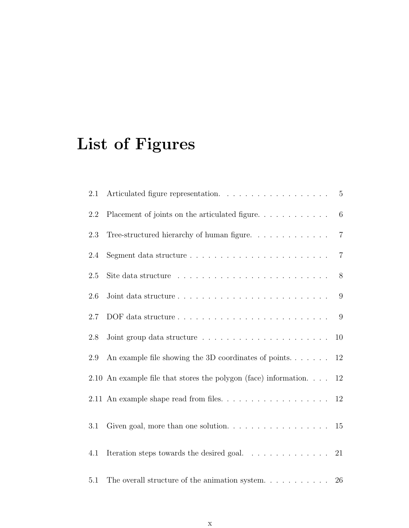# List of Figures

| 2.1     |                                                                                    | $5\overline{)}$ |
|---------|------------------------------------------------------------------------------------|-----------------|
| 2.2     |                                                                                    | 6               |
| 2.3     | Tree-structured hierarchy of human figure. $\ldots \ldots \ldots \ldots$           | $\overline{7}$  |
| 2.4     |                                                                                    | $\overline{7}$  |
| 2.5     |                                                                                    | 8               |
| 2.6     |                                                                                    | 9               |
| 2.7     |                                                                                    | 9               |
| 2.8     |                                                                                    | 10              |
| 2.9     | An example file showing the 3D coordinates of points.                              | 12              |
|         | 2.10 An example file that stores the polygon (face) information.                   | 12              |
|         | 2.11 An example shape read from files. 12                                          |                 |
| $3.1\,$ | Given goal, more than one solution. $\ldots \ldots \ldots \ldots \ldots \ldots 15$ |                 |
| 4.1     | Iteration steps towards the desired goal. $\ldots \ldots \ldots \ldots 21$         |                 |
| 5.1     | The overall structure of the animation system                                      | 26              |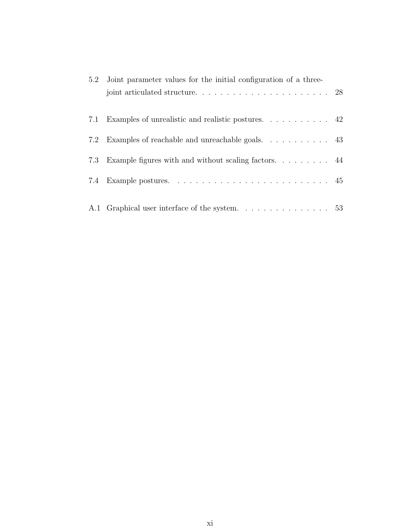| 5.2 | Joint parameter values for the initial configuration of a three-                   |  |
|-----|------------------------------------------------------------------------------------|--|
|     |                                                                                    |  |
|     |                                                                                    |  |
|     |                                                                                    |  |
|     | 7.3 Example figures with and without scaling factors 44                            |  |
| 7.4 | Example postures. $\ldots \ldots \ldots \ldots \ldots \ldots \ldots \ldots \ldots$ |  |
|     |                                                                                    |  |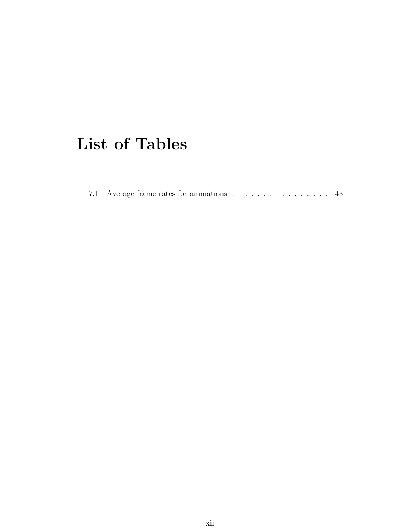# List of Tables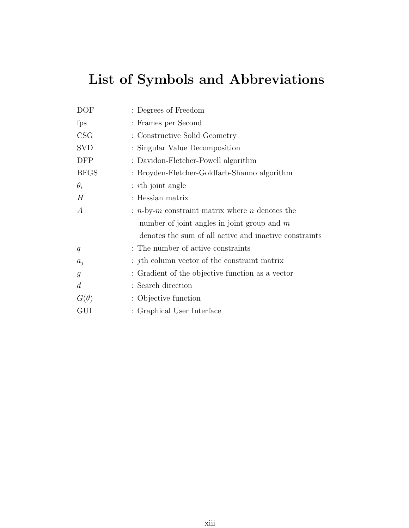# List of Symbols and Abbreviations

| DOF              | : Degrees of Freedom                                   |
|------------------|--------------------------------------------------------|
| fps              | : Frames per Second                                    |
| CSG              | : Constructive Solid Geometry                          |
| <b>SVD</b>       | : Singular Value Decomposition                         |
| DFP              | : Davidon-Fletcher-Powell algorithm                    |
| <b>BFGS</b>      | : Broyden-Fletcher-Goldfarb-Shanno algorithm           |
| $\theta_i$       | $:$ <i>i</i> th joint angle                            |
| Н                | : Hessian matrix                                       |
| А                | : $n$ -by-m constraint matrix where n denotes the      |
|                  | number of joint angles in joint group and $m$          |
|                  | denotes the sum of all active and inactive constraints |
| q                | : The number of active constraints                     |
| $a_j$            | $: jth$ column vector of the constraint matrix         |
| $\mathfrak{g}$   | : Gradient of the objective function as a vector       |
| $\boldsymbol{d}$ | : Search direction                                     |
| $G(\theta)$      | : Objective function                                   |
| GUI              | : Graphical User Interface                             |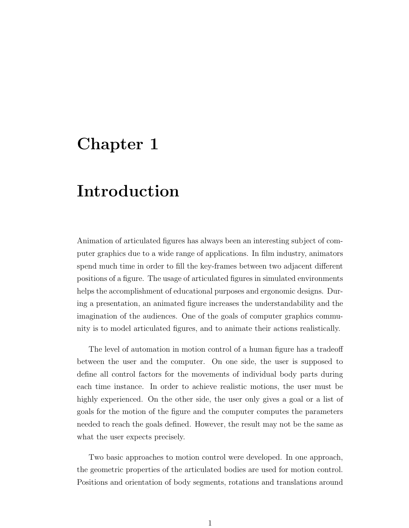## Chapter 1

## Introduction

Animation of articulated figures has always been an interesting subject of computer graphics due to a wide range of applications. In film industry, animators spend much time in order to fill the key-frames between two adjacent different positions of a figure. The usage of articulated figures in simulated environments helps the accomplishment of educational purposes and ergonomic designs. During a presentation, an animated figure increases the understandability and the imagination of the audiences. One of the goals of computer graphics community is to model articulated figures, and to animate their actions realistically.

The level of automation in motion control of a human figure has a tradeoff between the user and the computer. On one side, the user is supposed to define all control factors for the movements of individual body parts during each time instance. In order to achieve realistic motions, the user must be highly experienced. On the other side, the user only gives a goal or a list of goals for the motion of the figure and the computer computes the parameters needed to reach the goals defined. However, the result may not be the same as what the user expects precisely.

Two basic approaches to motion control were developed. In one approach, the geometric properties of the articulated bodies are used for motion control. Positions and orientation of body segments, rotations and translations around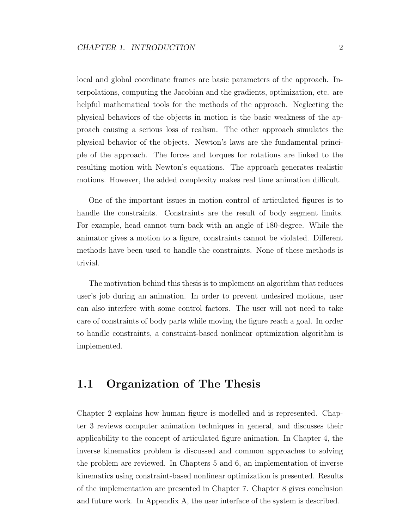local and global coordinate frames are basic parameters of the approach. Interpolations, computing the Jacobian and the gradients, optimization, etc. are helpful mathematical tools for the methods of the approach. Neglecting the physical behaviors of the objects in motion is the basic weakness of the approach causing a serious loss of realism. The other approach simulates the physical behavior of the objects. Newton's laws are the fundamental principle of the approach. The forces and torques for rotations are linked to the resulting motion with Newton's equations. The approach generates realistic motions. However, the added complexity makes real time animation difficult.

One of the important issues in motion control of articulated figures is to handle the constraints. Constraints are the result of body segment limits. For example, head cannot turn back with an angle of 180-degree. While the animator gives a motion to a figure, constraints cannot be violated. Different methods have been used to handle the constraints. None of these methods is trivial.

The motivation behind this thesis is to implement an algorithm that reduces user's job during an animation. In order to prevent undesired motions, user can also interfere with some control factors. The user will not need to take care of constraints of body parts while moving the figure reach a goal. In order to handle constraints, a constraint-based nonlinear optimization algorithm is implemented.

### 1.1 Organization of The Thesis

Chapter 2 explains how human figure is modelled and is represented. Chapter 3 reviews computer animation techniques in general, and discusses their applicability to the concept of articulated figure animation. In Chapter 4, the inverse kinematics problem is discussed and common approaches to solving the problem are reviewed. In Chapters 5 and 6, an implementation of inverse kinematics using constraint-based nonlinear optimization is presented. Results of the implementation are presented in Chapter 7. Chapter 8 gives conclusion and future work. In Appendix A, the user interface of the system is described.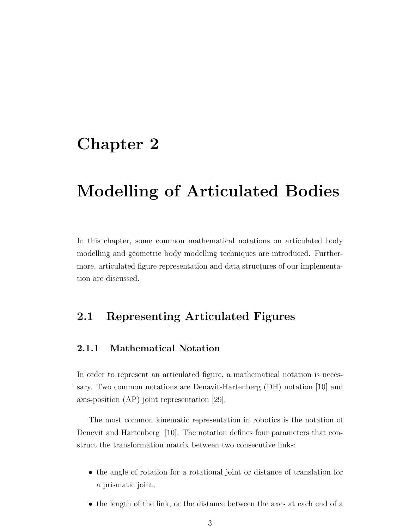## Chapter 2

## Modelling of Articulated Bodies

In this chapter, some common mathematical notations on articulated body modelling and geometric body modelling techniques are introduced. Furthermore, articulated figure representation and data structures of our implementation are discussed.

### 2.1 Representing Articulated Figures

#### 2.1.1 Mathematical Notation

In order to represent an articulated figure, a mathematical notation is necessary. Two common notations are Denavit-Hartenberg (DH) notation [10] and axis-position (AP) joint representation [29].

The most common kinematic representation in robotics is the notation of Denevit and Hartenberg [10]. The notation defines four parameters that construct the transformation matrix between two consecutive links:

- the angle of rotation for a rotational joint or distance of translation for a prismatic joint,
- the length of the link, or the distance between the axes at each end of a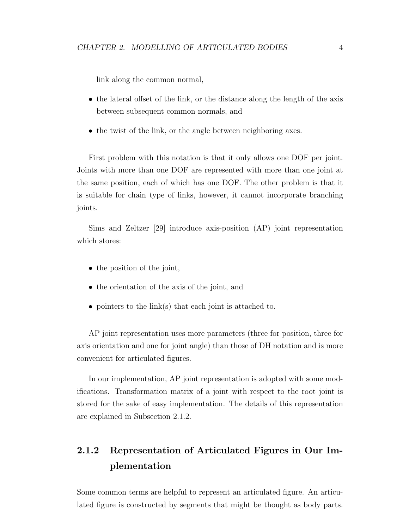link along the common normal,

- the lateral offset of the link, or the distance along the length of the axis between subsequent common normals, and
- the twist of the link, or the angle between neighboring axes.

First problem with this notation is that it only allows one DOF per joint. Joints with more than one DOF are represented with more than one joint at the same position, each of which has one DOF. The other problem is that it is suitable for chain type of links, however, it cannot incorporate branching joints.

Sims and Zeltzer [29] introduce axis-position (AP) joint representation which stores:

- the position of the joint,
- the orientation of the axis of the joint, and
- pointers to the link(s) that each joint is attached to.

AP joint representation uses more parameters (three for position, three for axis orientation and one for joint angle) than those of DH notation and is more convenient for articulated figures.

In our implementation, AP joint representation is adopted with some modifications. Transformation matrix of a joint with respect to the root joint is stored for the sake of easy implementation. The details of this representation are explained in Subsection 2.1.2.

### 2.1.2 Representation of Articulated Figures in Our Implementation

Some common terms are helpful to represent an articulated figure. An articulated figure is constructed by segments that might be thought as body parts.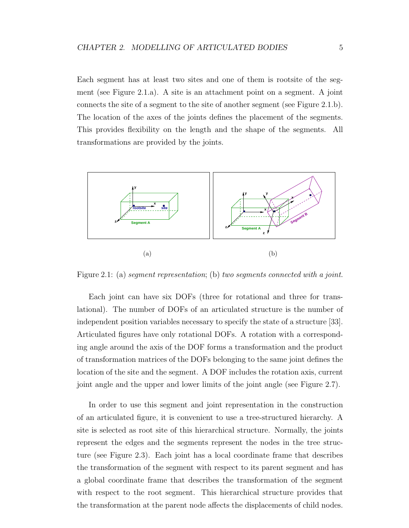Each segment has at least two sites and one of them is rootsite of the segment (see Figure 2.1.a). A site is an attachment point on a segment. A joint connects the site of a segment to the site of another segment (see Figure 2.1.b). The location of the axes of the joints defines the placement of the segments. This provides flexibility on the length and the shape of the segments. All transformations are provided by the joints.



Figure 2.1: (a) seqment representation; (b) two seqments connected with a joint.

Each joint can have six DOFs (three for rotational and three for translational). The number of DOFs of an articulated structure is the number of independent position variables necessary to specify the state of a structure [33]. Articulated figures have only rotational DOFs. A rotation with a corresponding angle around the axis of the DOF forms a transformation and the product of transformation matrices of the DOFs belonging to the same joint defines the location of the site and the segment. A DOF includes the rotation axis, current joint angle and the upper and lower limits of the joint angle (see Figure 2.7).

In order to use this segment and joint representation in the construction of an articulated figure, it is convenient to use a tree-structured hierarchy. A site is selected as root site of this hierarchical structure. Normally, the joints represent the edges and the segments represent the nodes in the tree structure (see Figure 2.3). Each joint has a local coordinate frame that describes the transformation of the segment with respect to its parent segment and has a global coordinate frame that describes the transformation of the segment with respect to the root segment. This hierarchical structure provides that the transformation at the parent node affects the displacements of child nodes.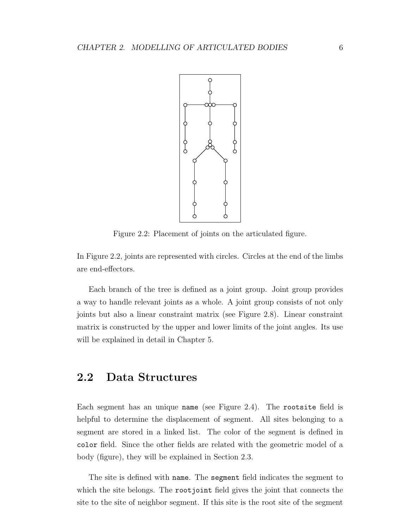

Figure 2.2: Placement of joints on the articulated figure.

In Figure 2.2, joints are represented with circles. Circles at the end of the limbs are end-effectors.

Each branch of the tree is defined as a joint group. Joint group provides a way to handle relevant joints as a whole. A joint group consists of not only joints but also a linear constraint matrix (see Figure 2.8). Linear constraint matrix is constructed by the upper and lower limits of the joint angles. Its use will be explained in detail in Chapter 5.

### 2.2 Data Structures

Each segment has an unique name (see Figure 2.4). The rootsite field is helpful to determine the displacement of segment. All sites belonging to a segment are stored in a linked list. The color of the segment is defined in color field. Since the other fields are related with the geometric model of a body (figure), they will be explained in Section 2.3.

The site is defined with name. The segment field indicates the segment to which the site belongs. The rootjoint field gives the joint that connects the site to the site of neighbor segment. If this site is the root site of the segment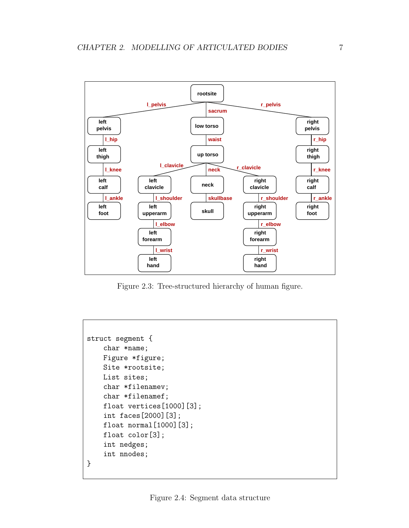

Figure 2.3: Tree-structured hierarchy of human figure.

```
struct segment {
    char *name;
    Figure *figure;
    Site *rootsite;
    List sites;
    char *filenamev;
    char *filenamef;
    float vertices[1000][3];
    int faces[2000][3];
    float normal[1000][3];
    float color[3];
    int nedges;
    int nnodes;
}
```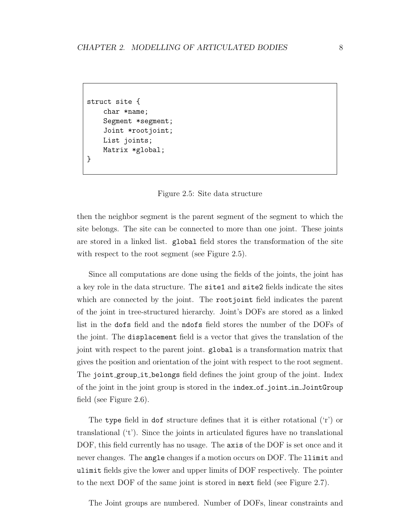```
struct site {
    char *name;
    Segment *segment;
    Joint *rootjoint;
    List joints;
    Matrix *global;
}
```


then the neighbor segment is the parent segment of the segment to which the site belongs. The site can be connected to more than one joint. These joints are stored in a linked list. global field stores the transformation of the site with respect to the root segment (see Figure 2.5).

Since all computations are done using the fields of the joints, the joint has a key role in the data structure. The site1 and site2 fields indicate the sites which are connected by the joint. The rootjoint field indicates the parent of the joint in tree-structured hierarchy. Joint's DOFs are stored as a linked list in the dofs field and the ndofs field stores the number of the DOFs of the joint. The displacement field is a vector that gives the translation of the joint with respect to the parent joint. global is a transformation matrix that gives the position and orientation of the joint with respect to the root segment. The joint group it belongs field defines the joint group of the joint. Index of the joint in the joint group is stored in the index of joint in JointGroup field (see Figure 2.6).

The type field in dof structure defines that it is either rotational ('r') or translational ('t'). Since the joints in articulated figures have no translational DOF, this field currently has no usage. The axis of the DOF is set once and it never changes. The angle changes if a motion occurs on DOF. The llimit and ulimit fields give the lower and upper limits of DOF respectively. The pointer to the next DOF of the same joint is stored in next field (see Figure 2.7).

The Joint groups are numbered. Number of DOFs, linear constraints and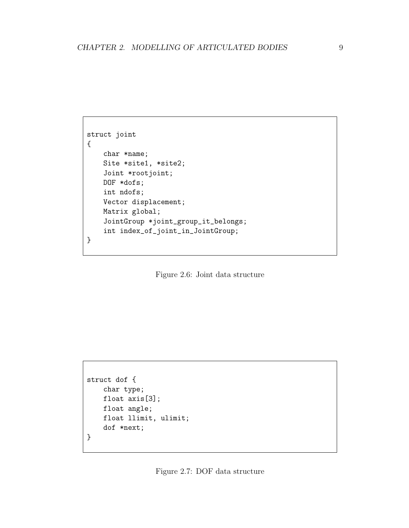```
struct joint
{
   char *name;
   Site *site1, *site2;
   Joint *rootjoint;
   DOF *dofs;
   int ndofs;
   Vector displacement;
   Matrix global;
    JointGroup *joint_group_it_belongs;
    int index_of_joint_in_JointGroup;
}
```
Figure 2.6: Joint data structure

```
struct dof {
   char type;
   float axis[3];
   float angle;
   float llimit, ulimit;
    dof *next;
}
```
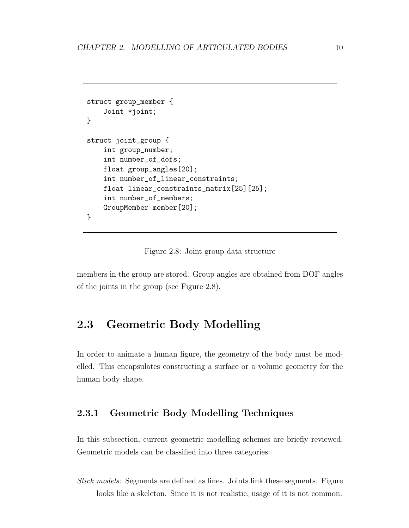```
struct group_member {
    Joint *joint;
}
struct joint_group {
    int group_number;
    int number_of_dofs;
    float group_angles[20];
    int number_of_linear_constraints;
    float linear_constraints_matrix[25][25];
    int number_of_members;
    GroupMember member[20];
}
```
Figure 2.8: Joint group data structure

members in the group are stored. Group angles are obtained from DOF angles of the joints in the group (see Figure 2.8).

### 2.3 Geometric Body Modelling

In order to animate a human figure, the geometry of the body must be modelled. This encapsulates constructing a surface or a volume geometry for the human body shape.

#### 2.3.1 Geometric Body Modelling Techniques

In this subsection, current geometric modelling schemes are briefly reviewed. Geometric models can be classified into three categories:

Stick models: Segments are defined as lines. Joints link these segments. Figure looks like a skeleton. Since it is not realistic, usage of it is not common.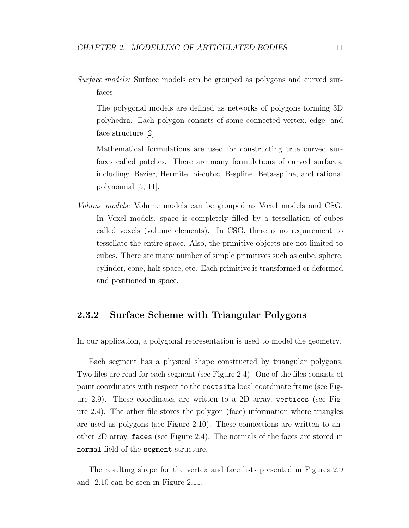Surface models: Surface models can be grouped as polygons and curved surfaces.

The polygonal models are defined as networks of polygons forming 3D polyhedra. Each polygon consists of some connected vertex, edge, and face structure [2].

Mathematical formulations are used for constructing true curved surfaces called patches. There are many formulations of curved surfaces, including: Bezier, Hermite, bi-cubic, B-spline, Beta-spline, and rational polynomial [5, 11].

Volume models: Volume models can be grouped as Voxel models and CSG. In Voxel models, space is completely filled by a tessellation of cubes called voxels (volume elements). In CSG, there is no requirement to tessellate the entire space. Also, the primitive objects are not limited to cubes. There are many number of simple primitives such as cube, sphere, cylinder, cone, half-space, etc. Each primitive is transformed or deformed and positioned in space.

#### 2.3.2 Surface Scheme with Triangular Polygons

In our application, a polygonal representation is used to model the geometry.

Each segment has a physical shape constructed by triangular polygons. Two files are read for each segment (see Figure 2.4). One of the files consists of point coordinates with respect to the rootsite local coordinate frame (see Figure 2.9). These coordinates are written to a 2D array, vertices (see Figure 2.4). The other file stores the polygon (face) information where triangles are used as polygons (see Figure 2.10). These connections are written to another 2D array, faces (see Figure 2.4). The normals of the faces are stored in normal field of the segment structure.

The resulting shape for the vertex and face lists presented in Figures 2.9 and 2.10 can be seen in Figure 2.11.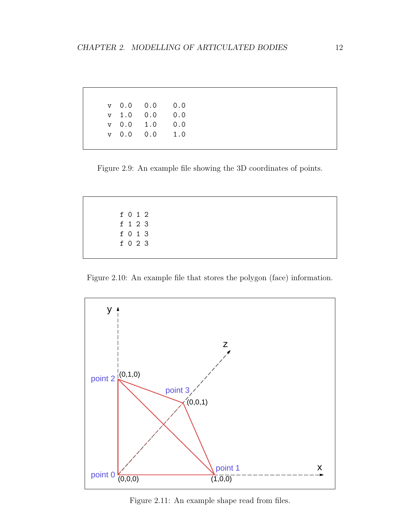|  | $V$ 0.0 0.0 0.0 |  |
|--|-----------------|--|
|  | v 1.0 0.0 0.0   |  |
|  | v 0.0 1.0 0.0   |  |
|  | $v$ 0.0 0.0 1.0 |  |
|  |                 |  |

Figure 2.9: An example file showing the 3D coordinates of points.

|  | f 0 1 2 |  |
|--|---------|--|
|  | f 1 2 3 |  |
|  | f 0 1 3 |  |
|  | f 0 2 3 |  |
|  |         |  |

Figure 2.10: An example file that stores the polygon (face) information.



Figure 2.11: An example shape read from files.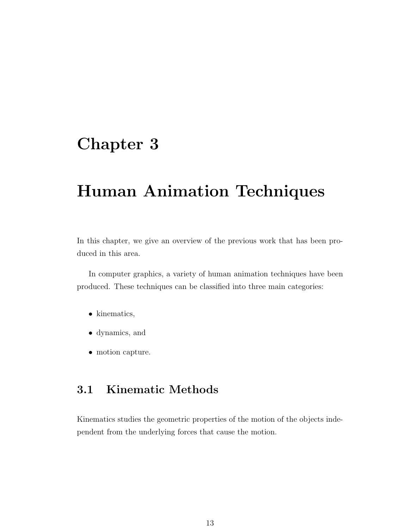## Chapter 3

## Human Animation Techniques

In this chapter, we give an overview of the previous work that has been produced in this area.

In computer graphics, a variety of human animation techniques have been produced. These techniques can be classified into three main categories:

- kinematics,
- dynamics, and
- motion capture.

### 3.1 Kinematic Methods

Kinematics studies the geometric properties of the motion of the objects independent from the underlying forces that cause the motion.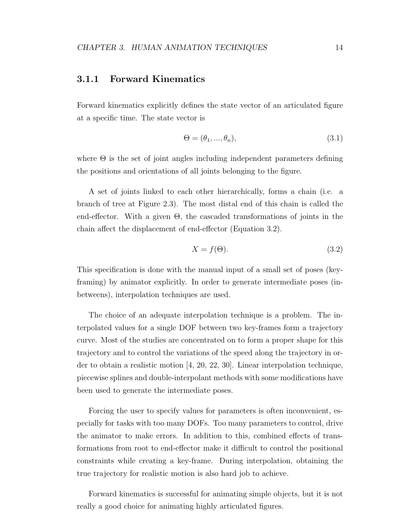#### 3.1.1 Forward Kinematics

Forward kinematics explicitly defines the state vector of an articulated figure at a specific time. The state vector is

$$
\Theta = (\theta_1, ..., \theta_n),\tag{3.1}
$$

where  $\Theta$  is the set of joint angles including independent parameters defining the positions and orientations of all joints belonging to the figure.

A set of joints linked to each other hierarchically, forms a chain (i.e. a branch of tree at Figure 2.3). The most distal end of this chain is called the end-effector. With a given  $\Theta$ , the cascaded transformations of joints in the chain affect the displacement of end-effector (Equation 3.2).

$$
X = f(\Theta). \tag{3.2}
$$

This specification is done with the manual input of a small set of poses (keyframing) by animator explicitly. In order to generate intermediate poses (inbetweens), interpolation techniques are used.

The choice of an adequate interpolation technique is a problem. The interpolated values for a single DOF between two key-frames form a trajectory curve. Most of the studies are concentrated on to form a proper shape for this trajectory and to control the variations of the speed along the trajectory in order to obtain a realistic motion [4, 20, 22, 30]. Linear interpolation technique, piecewise splines and double-interpolant methods with some modifications have been used to generate the intermediate poses.

Forcing the user to specify values for parameters is often inconvenient, especially for tasks with too many DOFs. Too many parameters to control, drive the animator to make errors. In addition to this, combined effects of transformations from root to end-effector make it difficult to control the positional constraints while creating a key-frame. During interpolation, obtaining the true trajectory for realistic motion is also hard job to achieve.

Forward kinematics is successful for animating simple objects, but it is not really a good choice for animating highly articulated figures.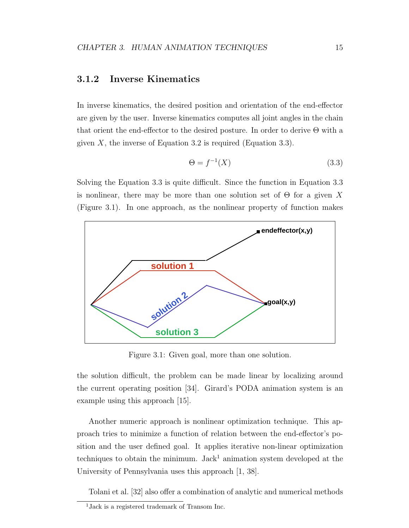#### 3.1.2 Inverse Kinematics

In inverse kinematics, the desired position and orientation of the end-effector are given by the user. Inverse kinematics computes all joint angles in the chain that orient the end-effector to the desired posture. In order to derive Θ with a given  $X$ , the inverse of Equation 3.2 is required (Equation 3.3).

$$
\Theta = f^{-1}(X) \tag{3.3}
$$

Solving the Equation 3.3 is quite difficult. Since the function in Equation 3.3 is nonlinear, there may be more than one solution set of  $\Theta$  for a given X (Figure 3.1). In one approach, as the nonlinear property of function makes



Figure 3.1: Given goal, more than one solution.

the solution difficult, the problem can be made linear by localizing around the current operating position [34]. Girard's PODA animation system is an example using this approach [15].

Another numeric approach is nonlinear optimization technique. This approach tries to minimize a function of relation between the end-effector's position and the user defined goal. It applies iterative non-linear optimization techniques to obtain the minimum. Jack<sup>1</sup> animation system developed at the University of Pennsylvania uses this approach [1, 38].

Tolani et al. [32] also offer a combination of analytic and numerical methods

<sup>1</sup>Jack is a registered trademark of Transom Inc.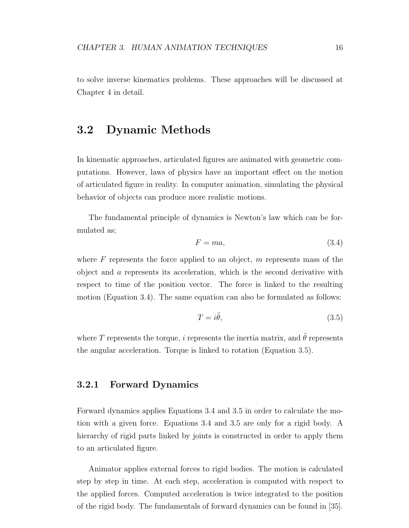to solve inverse kinematics problems. These approaches will be discussed at Chapter 4 in detail.

### 3.2 Dynamic Methods

In kinematic approaches, articulated figures are animated with geometric computations. However, laws of physics have an important effect on the motion of articulated figure in reality. In computer animation, simulating the physical behavior of objects can produce more realistic motions.

The fundamental principle of dynamics is Newton's law which can be formulated as;

$$
F = ma,\t\t(3.4)
$$

where  $F$  represents the force applied to an object,  $m$  represents mass of the object and a represents its acceleration, which is the second derivative with respect to time of the position vector. The force is linked to the resulting motion (Equation 3.4). The same equation can also be formulated as follows:

$$
T = i\ddot{\theta},\tag{3.5}
$$

where T represents the torque, i represents the inertia matrix, and  $\ddot{\theta}$  represents the angular acceleration. Torque is linked to rotation (Equation 3.5).

#### 3.2.1 Forward Dynamics

Forward dynamics applies Equations 3.4 and 3.5 in order to calculate the motion with a given force. Equations 3.4 and 3.5 are only for a rigid body. A hierarchy of rigid parts linked by joints is constructed in order to apply them to an articulated figure.

Animator applies external forces to rigid bodies. The motion is calculated step by step in time. At each step, acceleration is computed with respect to the applied forces. Computed acceleration is twice integrated to the position of the rigid body. The fundamentals of forward dynamics can be found in [35].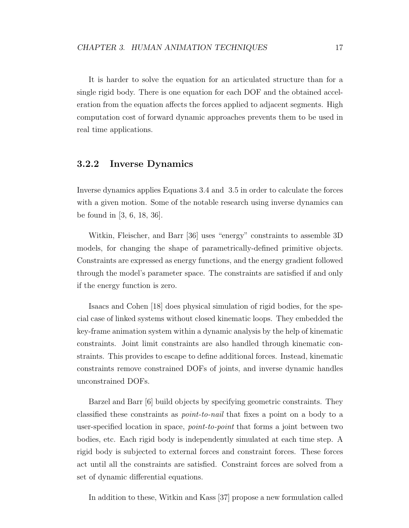It is harder to solve the equation for an articulated structure than for a single rigid body. There is one equation for each DOF and the obtained acceleration from the equation affects the forces applied to adjacent segments. High computation cost of forward dynamic approaches prevents them to be used in real time applications.

#### 3.2.2 Inverse Dynamics

Inverse dynamics applies Equations 3.4 and 3.5 in order to calculate the forces with a given motion. Some of the notable research using inverse dynamics can be found in [3, 6, 18, 36].

Witkin, Fleischer, and Barr [36] uses "energy" constraints to assemble 3D models, for changing the shape of parametrically-defined primitive objects. Constraints are expressed as energy functions, and the energy gradient followed through the model's parameter space. The constraints are satisfied if and only if the energy function is zero.

Isaacs and Cohen [18] does physical simulation of rigid bodies, for the special case of linked systems without closed kinematic loops. They embedded the key-frame animation system within a dynamic analysis by the help of kinematic constraints. Joint limit constraints are also handled through kinematic constraints. This provides to escape to define additional forces. Instead, kinematic constraints remove constrained DOFs of joints, and inverse dynamic handles unconstrained DOFs.

Barzel and Barr [6] build objects by specifying geometric constraints. They classified these constraints as point-to-nail that fixes a point on a body to a user-specified location in space, point-to-point that forms a joint between two bodies, etc. Each rigid body is independently simulated at each time step. A rigid body is subjected to external forces and constraint forces. These forces act until all the constraints are satisfied. Constraint forces are solved from a set of dynamic differential equations.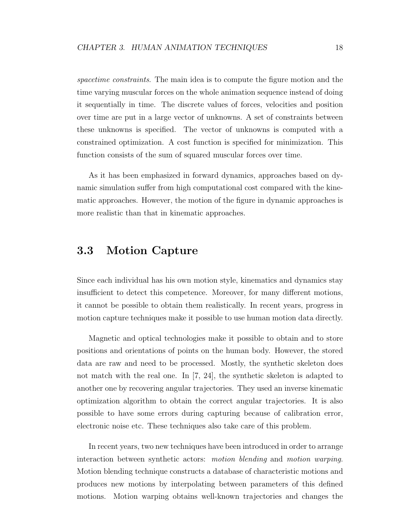spacetime constraints. The main idea is to compute the figure motion and the time varying muscular forces on the whole animation sequence instead of doing it sequentially in time. The discrete values of forces, velocities and position over time are put in a large vector of unknowns. A set of constraints between these unknowns is specified. The vector of unknowns is computed with a constrained optimization. A cost function is specified for minimization. This function consists of the sum of squared muscular forces over time.

As it has been emphasized in forward dynamics, approaches based on dynamic simulation suffer from high computational cost compared with the kinematic approaches. However, the motion of the figure in dynamic approaches is more realistic than that in kinematic approaches.

### 3.3 Motion Capture

Since each individual has his own motion style, kinematics and dynamics stay insufficient to detect this competence. Moreover, for many different motions, it cannot be possible to obtain them realistically. In recent years, progress in motion capture techniques make it possible to use human motion data directly.

Magnetic and optical technologies make it possible to obtain and to store positions and orientations of points on the human body. However, the stored data are raw and need to be processed. Mostly, the synthetic skeleton does not match with the real one. In [7, 24], the synthetic skeleton is adapted to another one by recovering angular trajectories. They used an inverse kinematic optimization algorithm to obtain the correct angular trajectories. It is also possible to have some errors during capturing because of calibration error, electronic noise etc. These techniques also take care of this problem.

In recent years, two new techniques have been introduced in order to arrange interaction between synthetic actors: motion blending and motion warping. Motion blending technique constructs a database of characteristic motions and produces new motions by interpolating between parameters of this defined motions. Motion warping obtains well-known trajectories and changes the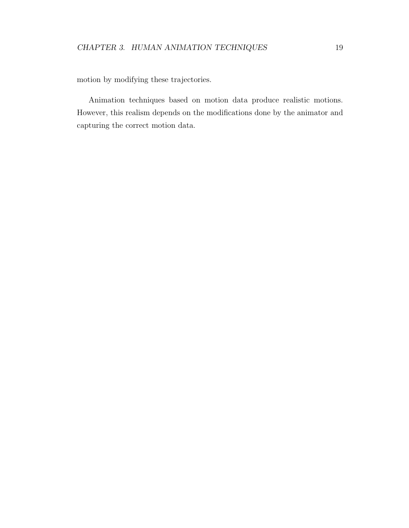motion by modifying these trajectories.

Animation techniques based on motion data produce realistic motions. However, this realism depends on the modifications done by the animator and capturing the correct motion data.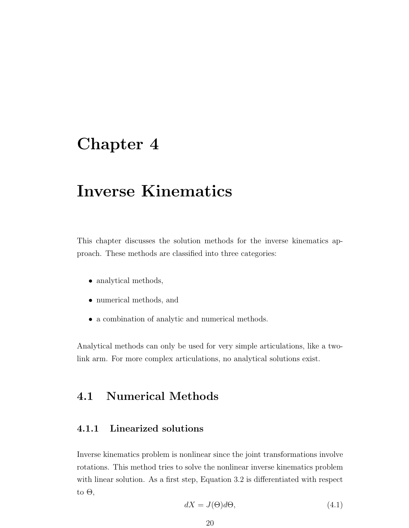## Chapter 4

## Inverse Kinematics

This chapter discusses the solution methods for the inverse kinematics approach. These methods are classified into three categories:

- analytical methods,
- numerical methods, and
- a combination of analytic and numerical methods.

Analytical methods can only be used for very simple articulations, like a twolink arm. For more complex articulations, no analytical solutions exist.

### 4.1 Numerical Methods

#### 4.1.1 Linearized solutions

Inverse kinematics problem is nonlinear since the joint transformations involve rotations. This method tries to solve the nonlinear inverse kinematics problem with linear solution. As a first step, Equation 3.2 is differentiated with respect to  $\Theta$ ,

$$
dX = J(\Theta)d\Theta,\t\t(4.1)
$$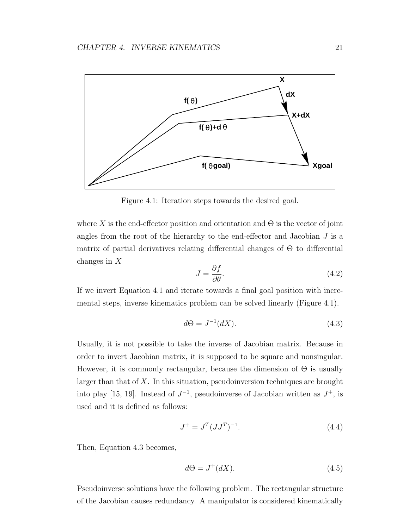

Figure 4.1: Iteration steps towards the desired goal.

where X is the end-effector position and orientation and  $\Theta$  is the vector of joint angles from the root of the hierarchy to the end-effector and Jacobian  $J$  is a matrix of partial derivatives relating differential changes of  $\Theta$  to differential changes in X

$$
J = \frac{\partial f}{\partial \theta}.\tag{4.2}
$$

If we invert Equation 4.1 and iterate towards a final goal position with incremental steps, inverse kinematics problem can be solved linearly (Figure 4.1).

$$
d\Theta = J^{-1}(dX). \tag{4.3}
$$

Usually, it is not possible to take the inverse of Jacobian matrix. Because in order to invert Jacobian matrix, it is supposed to be square and nonsingular. However, it is commonly rectangular, because the dimension of  $\Theta$  is usually larger than that of X. In this situation, pseudoinversion techniques are brought into play [15, 19]. Instead of  $J^{-1}$ , pseudoinverse of Jacobian written as  $J^+$ , is used and it is defined as follows:

$$
J^{+} = J^{T} (JJ^{T})^{-1}.
$$
\n(4.4)

Then, Equation 4.3 becomes,

$$
d\Theta = J^+(dX). \tag{4.5}
$$

Pseudoinverse solutions have the following problem. The rectangular structure of the Jacobian causes redundancy. A manipulator is considered kinematically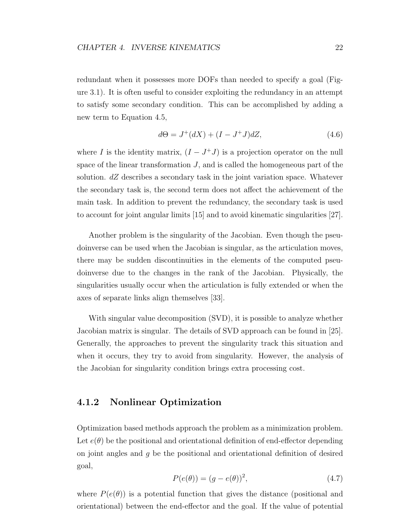redundant when it possesses more DOFs than needed to specify a goal (Figure 3.1). It is often useful to consider exploiting the redundancy in an attempt to satisfy some secondary condition. This can be accomplished by adding a new term to Equation 4.5,

$$
d\Theta = J^+(dX) + (I - J^+J)dZ,
$$
\n(4.6)

where I is the identity matrix,  $(I - J^{+}J)$  is a projection operator on the null space of the linear transformation J, and is called the homogeneous part of the solution.  $dZ$  describes a secondary task in the joint variation space. Whatever the secondary task is, the second term does not affect the achievement of the main task. In addition to prevent the redundancy, the secondary task is used to account for joint angular limits [15] and to avoid kinematic singularities [27].

Another problem is the singularity of the Jacobian. Even though the pseudoinverse can be used when the Jacobian is singular, as the articulation moves, there may be sudden discontinuities in the elements of the computed pseudoinverse due to the changes in the rank of the Jacobian. Physically, the singularities usually occur when the articulation is fully extended or when the axes of separate links align themselves [33].

With singular value decomposition (SVD), it is possible to analyze whether Jacobian matrix is singular. The details of SVD approach can be found in [25]. Generally, the approaches to prevent the singularity track this situation and when it occurs, they try to avoid from singularity. However, the analysis of the Jacobian for singularity condition brings extra processing cost.

#### 4.1.2 Nonlinear Optimization

Optimization based methods approach the problem as a minimization problem. Let  $e(\theta)$  be the positional and orientational definition of end-effector depending on joint angles and g be the positional and orientational definition of desired goal,

$$
P(e(\theta)) = (g - e(\theta))^2, \tag{4.7}
$$

where  $P(e(\theta))$  is a potential function that gives the distance (positional and orientational) between the end-effector and the goal. If the value of potential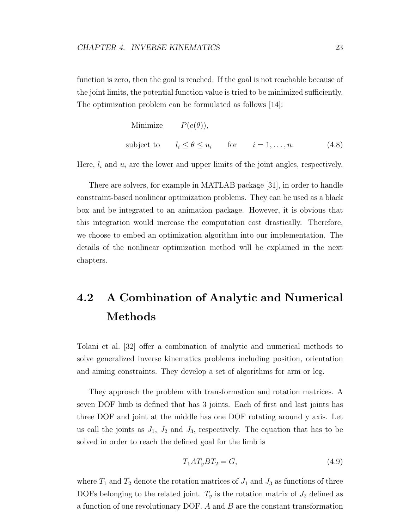function is zero, then the goal is reached. If the goal is not reachable because of the joint limits, the potential function value is tried to be minimized sufficiently. The optimization problem can be formulated as follows [14]:

Minimize 
$$
P(e(\theta))
$$
,  
subject to  $l_i \le \theta \le u_i$  for  $i = 1,...,n$ . (4.8)

Here,  $l_i$  and  $u_i$  are the lower and upper limits of the joint angles, respectively.

There are solvers, for example in MATLAB package [31], in order to handle constraint-based nonlinear optimization problems. They can be used as a black box and be integrated to an animation package. However, it is obvious that this integration would increase the computation cost drastically. Therefore, we choose to embed an optimization algorithm into our implementation. The details of the nonlinear optimization method will be explained in the next chapters.

## 4.2 A Combination of Analytic and Numerical Methods

Tolani et al. [32] offer a combination of analytic and numerical methods to solve generalized inverse kinematics problems including position, orientation and aiming constraints. They develop a set of algorithms for arm or leg.

They approach the problem with transformation and rotation matrices. A seven DOF limb is defined that has 3 joints. Each of first and last joints has three DOF and joint at the middle has one DOF rotating around y axis. Let us call the joints as  $J_1$ ,  $J_2$  and  $J_3$ , respectively. The equation that has to be solved in order to reach the defined goal for the limb is

$$
T_1 A T_y B T_2 = G,\t\t(4.9)
$$

where  $T_1$  and  $T_2$  denote the rotation matrices of  $J_1$  and  $J_3$  as functions of three DOFs belonging to the related joint.  $T_y$  is the rotation matrix of  $J_2$  defined as a function of one revolutionary DOF. A and B are the constant transformation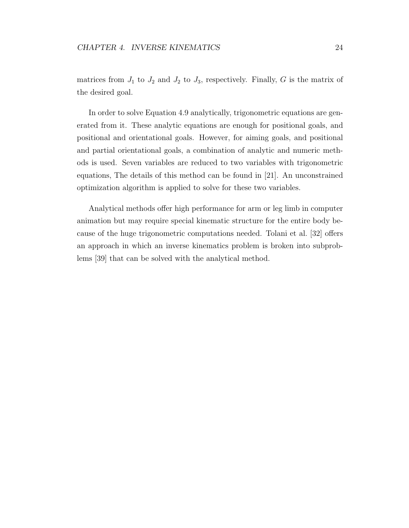matrices from  $J_1$  to  $J_2$  and  $J_2$  to  $J_3$ , respectively. Finally, G is the matrix of the desired goal.

In order to solve Equation 4.9 analytically, trigonometric equations are generated from it. These analytic equations are enough for positional goals, and positional and orientational goals. However, for aiming goals, and positional and partial orientational goals, a combination of analytic and numeric methods is used. Seven variables are reduced to two variables with trigonometric equations, The details of this method can be found in [21]. An unconstrained optimization algorithm is applied to solve for these two variables.

Analytical methods offer high performance for arm or leg limb in computer animation but may require special kinematic structure for the entire body because of the huge trigonometric computations needed. Tolani et al. [32] offers an approach in which an inverse kinematics problem is broken into subproblems [39] that can be solved with the analytical method.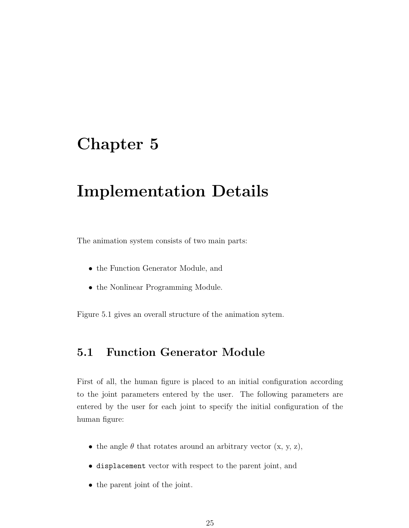## Chapter 5

## Implementation Details

The animation system consists of two main parts:

- the Function Generator Module, and
- the Nonlinear Programming Module.

Figure 5.1 gives an overall structure of the animation sytem.

### 5.1 Function Generator Module

First of all, the human figure is placed to an initial configuration according to the joint parameters entered by the user. The following parameters are entered by the user for each joint to specify the initial configuration of the human figure:

- the angle  $\theta$  that rotates around an arbitrary vector  $(x, y, z)$ ,
- displacement vector with respect to the parent joint, and
- the parent joint of the joint.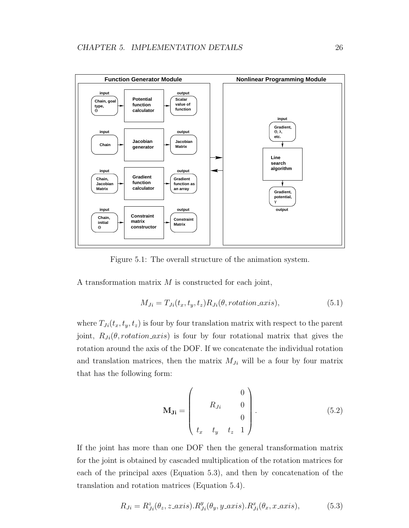

Figure 5.1: The overall structure of the animation system.

A transformation matrix  $M$  is constructed for each joint,

$$
M_{Ji} = T_{Ji}(t_x, t_y, t_z) R_{Ji}(\theta, rotation\_axis),
$$
\n(5.1)

where  $T_{Ji}(t_x, t_y, t_z)$  is four by four translation matrix with respect to the parent joint,  $R_{J_i}(\theta, rotation\_axis)$  is four by four rotational matrix that gives the rotation around the axis of the DOF. If we concatenate the individual rotation and translation matrices, then the matrix  $M_{J_i}$  will be a four by four matrix that has the following form:

$$
\mathbf{M_{Ji}} = \begin{pmatrix} 0 \\ R_{Ji} & 0 \\ 0 \\ t_x & t_y & t_z & 1 \end{pmatrix} .
$$
 (5.2)

If the joint has more than one DOF then the general transformation matrix for the joint is obtained by cascaded multiplication of the rotation matrices for each of the principal axes (Equation 5.3), and then by concatenation of the translation and rotation matrices (Equation 5.4).

$$
R_{Ji} = R_{Ji}^z(\theta_z, z \_axis). R_{Ji}^y(\theta_y, y \_axis). R_{Ji}^x(\theta_x, x \_axis), \tag{5.3}
$$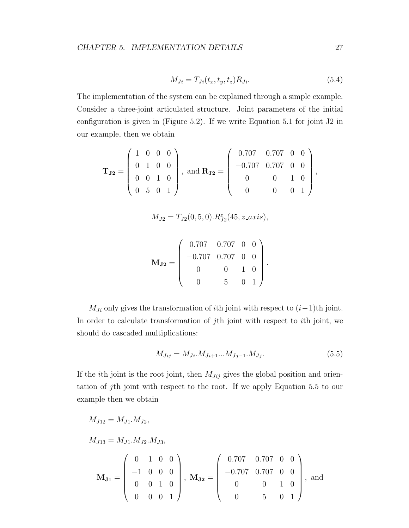$$
M_{Ji} = T_{Ji}(t_x, t_y, t_z)R_{Ji}.\tag{5.4}
$$

The implementation of the system can be explained through a simple example. Consider a three-joint articulated structure. Joint parameters of the initial configuration is given in (Figure 5.2). If we write Equation 5.1 for joint J2 in our example, then we obtain

$$
\mathbf{T}_{\mathbf{J2}} = \left(\begin{array}{cccc} 1 & 0 & 0 & 0 \\ 0 & 1 & 0 & 0 \\ 0 & 0 & 1 & 0 \\ 0 & 5 & 0 & 1 \end{array}\right), \text{ and } \mathbf{R}_{\mathbf{J2}} = \left(\begin{array}{cccc} 0.707 & 0.707 & 0 & 0 \\ -0.707 & 0.707 & 0 & 0 \\ 0 & 0 & 1 & 0 \\ 0 & 0 & 0 & 1 \end{array}\right),
$$

$$
M_{J2} = T_{J2}(0, 5, 0). R_{J2}^{z}(45, z \_axis),
$$

$$
\mathbf{M_{J2}} = \left(\begin{array}{cccc} 0.707 & 0.707 & 0 & 0 \\ -0.707 & 0.707 & 0 & 0 \\ 0 & 0 & 1 & 0 \\ 0 & 5 & 0 & 1 \end{array}\right).
$$

 $M_{J_i}$  only gives the transformation of *i*th joint with respect to  $(i-1)$ th joint. In order to calculate transformation of jth joint with respect to ith joint, we should do cascaded multiplications:

$$
M_{Jij} = M_{Ji} \cdot M_{Ji+1} \cdot \cdot \cdot M_{Jj-1} \cdot M_{Jj}.\tag{5.5}
$$

If the *i*th joint is the root joint, then  $M_{Jij}$  gives the global position and orientation of jth joint with respect to the root. If we apply Equation 5.5 to our example then we obtain

$$
M_{J12} = M_{J1}.M_{J2},
$$
  
\n
$$
M_{J13} = M_{J1}.M_{J2}.M_{J3},
$$
  
\n
$$
\mathbf{M_{J1}} = \begin{pmatrix} 0 & 1 & 0 & 0 \\ -1 & 0 & 0 & 0 \\ 0 & 0 & 1 & 0 \\ 0 & 0 & 0 & 1 \end{pmatrix}, \mathbf{M_{J2}} = \begin{pmatrix} 0.707 & 0.707 & 0 & 0 \\ -0.707 & 0.707 & 0 & 0 \\ 0 & 0 & 1 & 0 \\ 0 & 0 & 5 & 0 & 1 \end{pmatrix}, and
$$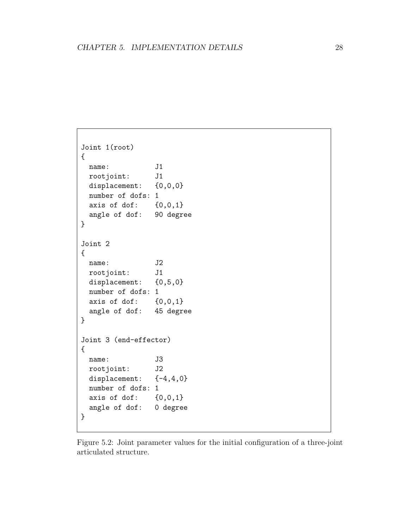```
Joint 1(root)
{
 name: J1
 rootjoint: J1
 displacement: {0,0,0}number of dofs: 1
 axis of dof: \{0,0,1\}angle of dof: 90 degree
}
Joint 2
{
 name: J2
 rootjoint: J1
 displacement: {0, 5, 0}number of dofs: 1
 axis of dof: \{0,0,1\}angle of dof: 45 degree
}
Joint 3 (end-effector)
{
 name: J3
 rootjoint: J2
 displacement: \{-4, 4, 0\}number of dofs: 1
 axis of dof: \{0,0,1\}angle of dof: 0 degree
}
```
Figure 5.2: Joint parameter values for the initial configuration of a three-joint articulated structure.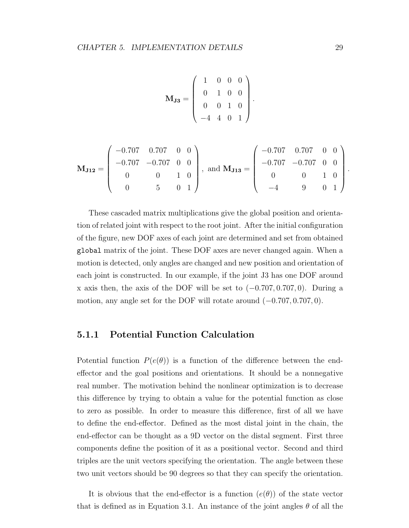$$
\mathbf{M}_{\mathbf{J3}} = \left( \begin{array}{rrrr} 1 & 0 & 0 & 0 \\ 0 & 1 & 0 & 0 \\ 0 & 0 & 1 & 0 \\ -4 & 4 & 0 & 1 \end{array} \right).
$$

$$
\mathbf{M_{J12}} = \begin{pmatrix} -0.707 & 0.707 & 0 & 0 \\ -0.707 & -0.707 & 0 & 0 \\ 0 & 0 & 1 & 0 \\ 0 & 5 & 0 & 1 \end{pmatrix}, \text{ and } \mathbf{M_{J13}} = \begin{pmatrix} -0.707 & 0.707 & 0 & 0 \\ -0.707 & -0.707 & 0 & 0 \\ 0 & 0 & 1 & 0 \\ -4 & 9 & 0 & 1 \end{pmatrix}.
$$

These cascaded matrix multiplications give the global position and orientation of related joint with respect to the root joint. After the initial configuration of the figure, new DOF axes of each joint are determined and set from obtained global matrix of the joint. These DOF axes are never changed again. When a motion is detected, only angles are changed and new position and orientation of each joint is constructed. In our example, if the joint J3 has one DOF around x axis then, the axis of the DOF will be set to  $(-0.707, 0.707, 0)$ . During a motion, any angle set for the DOF will rotate around  $(-0.707, 0.707, 0)$ .

#### 5.1.1 Potential Function Calculation

Potential function  $P(e(\theta))$  is a function of the difference between the endeffector and the goal positions and orientations. It should be a nonnegative real number. The motivation behind the nonlinear optimization is to decrease this difference by trying to obtain a value for the potential function as close to zero as possible. In order to measure this difference, first of all we have to define the end-effector. Defined as the most distal joint in the chain, the end-effector can be thought as a 9D vector on the distal segment. First three components define the position of it as a positional vector. Second and third triples are the unit vectors specifying the orientation. The angle between these two unit vectors should be 90 degrees so that they can specify the orientation.

It is obvious that the end-effector is a function  $(e(\theta))$  of the state vector that is defined as in Equation 3.1. An instance of the joint angles  $\theta$  of all the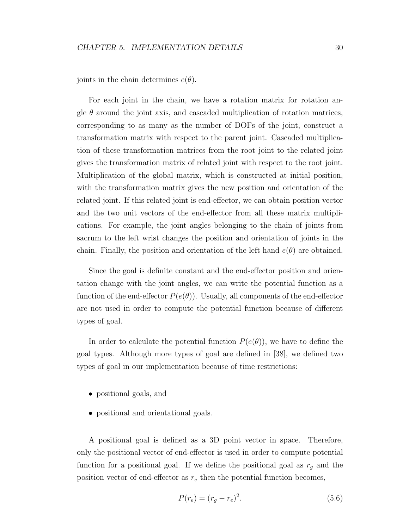joints in the chain determines  $e(\theta)$ .

For each joint in the chain, we have a rotation matrix for rotation angle  $\theta$  around the joint axis, and cascaded multiplication of rotation matrices, corresponding to as many as the number of DOFs of the joint, construct a transformation matrix with respect to the parent joint. Cascaded multiplication of these transformation matrices from the root joint to the related joint gives the transformation matrix of related joint with respect to the root joint. Multiplication of the global matrix, which is constructed at initial position, with the transformation matrix gives the new position and orientation of the related joint. If this related joint is end-effector, we can obtain position vector and the two unit vectors of the end-effector from all these matrix multiplications. For example, the joint angles belonging to the chain of joints from sacrum to the left wrist changes the position and orientation of joints in the chain. Finally, the position and orientation of the left hand  $e(\theta)$  are obtained.

Since the goal is definite constant and the end-effector position and orientation change with the joint angles, we can write the potential function as a function of the end-effector  $P(e(\theta))$ . Usually, all components of the end-effector are not used in order to compute the potential function because of different types of goal.

In order to calculate the potential function  $P(e(\theta))$ , we have to define the goal types. Although more types of goal are defined in [38], we defined two types of goal in our implementation because of time restrictions:

- positional goals, and
- positional and orientational goals.

A positional goal is defined as a 3D point vector in space. Therefore, only the positional vector of end-effector is used in order to compute potential function for a positional goal. If we define the positional goal as  $r_g$  and the position vector of end-effector as  $r_e$  then the potential function becomes,

$$
P(r_e) = (r_g - r_e)^2.
$$
\n(5.6)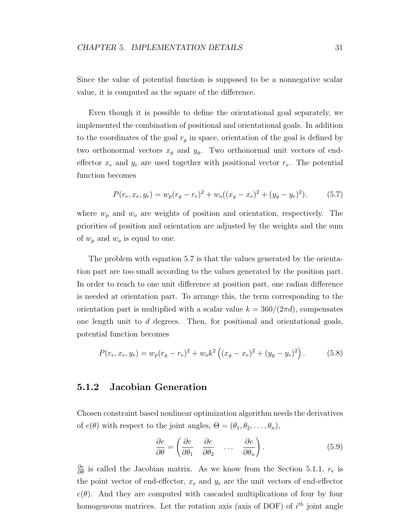Since the value of potential function is supposed to be a nonnegative scalar value, it is computed as the square of the difference.

Even though it is possible to define the orientational goal separately, we implemented the combination of positional and orientational goals. In addition to the coordinates of the goal  $r<sub>g</sub>$  in space, orientation of the goal is defined by two orthonormal vectors  $x_g$  and  $y_g$ . Two orthonormal unit vectors of endeffector  $x_e$  and  $y_e$  are used together with positional vector  $r_e$ . The potential function becomes

$$
P(r_e, x_e, y_e) = w_p (r_g - r_e)^2 + w_o ((x_g - x_e)^2 + (y_g - y_e)^2).
$$
 (5.7)

where  $w_p$  and  $w_o$  are weights of position and orientation, respectively. The priorities of position and orientation are adjusted by the weights and the sum of  $w_p$  and  $w_o$  is equal to one.

The problem with equation 5.7 is that the values generated by the orientation part are too small according to the values generated by the position part. In order to reach to one unit difference at position part, one radian difference is needed at orientation part. To arrange this, the term corresponding to the orientation part is multiplied with a scalar value  $k = 360/(2\pi d)$ , compensates one length unit to  $d$  degrees. Then, for positional and orientational goals, potential function becomes

$$
P(r_e, x_e, y_e) = w_p (r_g - r_e)^2 + w_o k^2 \left( (x_g - x_e)^2 + (y_g - y_e)^2 \right). \tag{5.8}
$$

#### 5.1.2 Jacobian Generation

Chosen constraint based nonlinear optimization algorithm needs the derivatives of  $e(\theta)$  with respect to the joint angles,  $\Theta = (\theta_1, \theta_2, \dots, \theta_n)$ ,

$$
\frac{\partial e}{\partial \theta} = \left( \frac{\partial e}{\partial \theta_1} \quad \frac{\partial e}{\partial \theta_2} \quad \dots \quad \frac{\partial e}{\partial \theta_n} \right). \tag{5.9}
$$

 $\frac{\partial e}{\partial \theta}$  is called the Jacobian matrix. As we know from the Section 5.1.1,  $r_e$  is the point vector of end-effector,  $x_e$  and  $y_e$  are the unit vectors of end-effector  $e(\theta)$ . And they are computed with cascaded multiplications of four by four homogeneous matrices. Let the rotation axis (axis of DOF) of  $i^{th}$  joint angle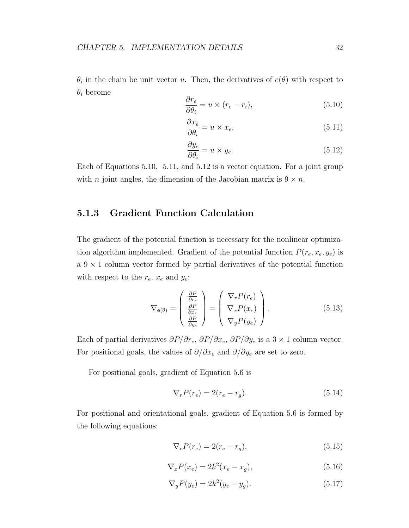$\theta_i$  in the chain be unit vector u. Then, the derivatives of  $e(\theta)$  with respect to  $\theta_i$  become

$$
\frac{\partial r_e}{\partial \theta_i} = u \times (r_e - r_i),\tag{5.10}
$$

$$
\frac{\partial x_e}{\partial \theta_i} = u \times x_e,\tag{5.11}
$$

$$
\frac{\partial y_e}{\partial \theta_i} = u \times y_e.
$$
\n(5.12)

Each of Equations 5.10, 5.11, and 5.12 is a vector equation. For a joint group with *n* joint angles, the dimension of the Jacobian matrix is  $9 \times n$ .

#### 5.1.3 Gradient Function Calculation

The gradient of the potential function is necessary for the nonlinear optimization algorithm implemented. Gradient of the potential function  $P(r_e, x_e, y_e)$  is  $a \, 9 \times 1$  column vector formed by partial derivatives of the potential function with respect to the  $r_e$ ,  $x_e$  and  $y_e$ :

$$
\nabla_{\mathbf{e}(\theta)} = \begin{pmatrix} \frac{\partial P}{\partial r_e} \\ \frac{\partial P}{\partial x_e} \\ \frac{\partial P}{\partial y_e} \end{pmatrix} = \begin{pmatrix} \nabla_r P(r_e) \\ \nabla_x P(x_e) \\ \nabla_y P(y_e) \end{pmatrix}.
$$
 (5.13)

Each of partial derivatives  $\partial P/\partial r_e$ ,  $\partial P/\partial x_e$ ,  $\partial P/\partial y_e$  is a 3 × 1 column vector. For positional goals, the values of  $\partial/\partial x_e$  and  $\partial/\partial y_e$  are set to zero.

For positional goals, gradient of Equation 5.6 is

$$
\nabla_r P(r_e) = 2(r_e - r_g). \tag{5.14}
$$

For positional and orientational goals, gradient of Equation 5.6 is formed by the following equations:

$$
\nabla_r P(r_e) = 2(r_e - r_g),\tag{5.15}
$$

$$
\nabla_x P(x_e) = 2k^2 (x_e - x_g),\tag{5.16}
$$

$$
\nabla_y P(y_e) = 2k^2 (y_e - y_g). \tag{5.17}
$$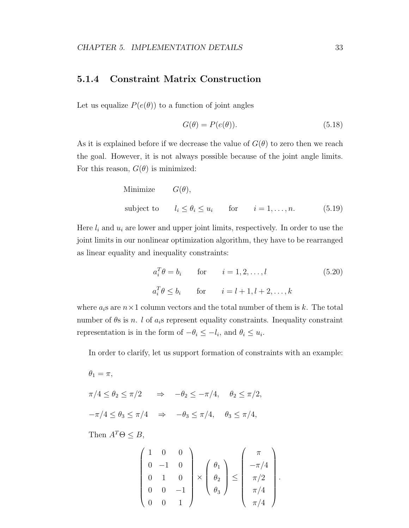#### 5.1.4 Constraint Matrix Construction

Let us equalize  $P(e(\theta))$  to a function of joint angles

$$
G(\theta) = P(e(\theta)).\tag{5.18}
$$

As it is explained before if we decrease the value of  $G(\theta)$  to zero then we reach the goal. However, it is not always possible because of the joint angle limits. For this reason,  $G(\theta)$  is minimized:

Minimize 
$$
G(\theta)
$$
,  
\nsubject to  $l_i \le \theta_i \le u_i$  for  $i = 1,...,n$ . (5.19)

Here  $l_i$  and  $u_i$  are lower and upper joint limits, respectively. In order to use the joint limits in our nonlinear optimization algorithm, they have to be rearranged as linear equality and inequality constraints:

$$
a_i^T \theta = b_i \qquad \text{for} \qquad i = 1, 2, \dots, l \tag{5.20}
$$
  

$$
a_i^T \theta \le b_i \qquad \text{for} \qquad i = l + 1, l + 2, \dots, k
$$

where  $a_i$ s are  $n \times 1$  column vectors and the total number of them is k. The total number of  $\theta$ s is n. l of  $a_i$ s represent equality constraints. Inequality constraint representation is in the form of  $-\theta_i \leq -l_i$ , and  $\theta_i \leq u_i$ .

In order to clarify, let us support formation of constraints with an example:

$$
\theta_1 = \pi,
$$
  
\n
$$
\pi/4 \le \theta_2 \le \pi/2 \quad \Rightarrow \quad -\theta_2 \le -\pi/4, \quad \theta_2 \le \pi/2,
$$
  
\n
$$
-\pi/4 \le \theta_3 \le \pi/4 \quad \Rightarrow \quad -\theta_3 \le \pi/4, \quad \theta_3 \le \pi/4,
$$

Then  $A^T\Theta \leq B$ ,

$$
\begin{pmatrix} 1 & 0 & 0 \\ 0 & -1 & 0 \\ 0 & 1 & 0 \\ 0 & 0 & -1 \\ 0 & 0 & 1 \end{pmatrix} \times \begin{pmatrix} \theta_1 \\ \theta_2 \\ \theta_3 \end{pmatrix} \le \begin{pmatrix} \pi \\ -\pi/4 \\ \pi/2 \\ \pi/4 \\ \pi/4 \end{pmatrix}.
$$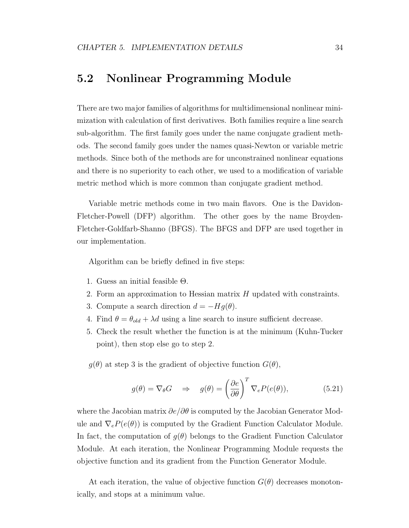### 5.2 Nonlinear Programming Module

There are two major families of algorithms for multidimensional nonlinear minimization with calculation of first derivatives. Both families require a line search sub-algorithm. The first family goes under the name conjugate gradient methods. The second family goes under the names quasi-Newton or variable metric methods. Since both of the methods are for unconstrained nonlinear equations and there is no superiority to each other, we used to a modification of variable metric method which is more common than conjugate gradient method.

Variable metric methods come in two main flavors. One is the Davidon-Fletcher-Powell (DFP) algorithm. The other goes by the name Broyden-Fletcher-Goldfarb-Shanno (BFGS). The BFGS and DFP are used together in our implementation.

Algorithm can be briefly defined in five steps:

- 1. Guess an initial feasible  $\Theta$ .
- 2. Form an approximation to Hessian matrix  $H$  updated with constraints.
- 3. Compute a search direction  $d = -Hg(\theta)$ .
- 4. Find  $\theta = \theta_{old} + \lambda d$  using a line search to insure sufficient decrease.
- 5. Check the result whether the function is at the minimum (Kuhn-Tucker point), then stop else go to step 2.

 $g(\theta)$  at step 3 is the gradient of objective function  $G(\theta)$ ,

$$
g(\theta) = \nabla_{\theta} G \quad \Rightarrow \quad g(\theta) = \left(\frac{\partial e}{\partial \theta}\right)^{T} \nabla_{e} P(e(\theta)), \tag{5.21}
$$

where the Jacobian matrix  $\partial e/\partial \theta$  is computed by the Jacobian Generator Module and  $\nabla_e P(e(\theta))$  is computed by the Gradient Function Calculator Module. In fact, the computation of  $g(\theta)$  belongs to the Gradient Function Calculator Module. At each iteration, the Nonlinear Programming Module requests the objective function and its gradient from the Function Generator Module.

At each iteration, the value of objective function  $G(\theta)$  decreases monotonically, and stops at a minimum value.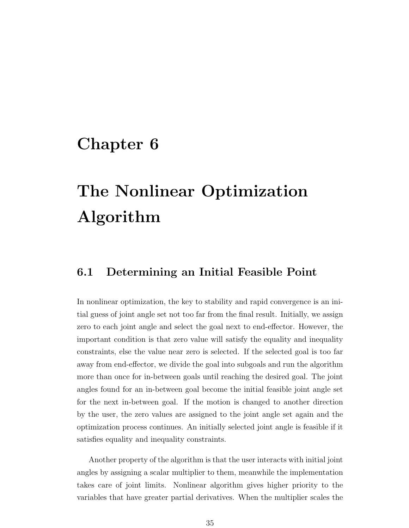## Chapter 6

# The Nonlinear Optimization Algorithm

### 6.1 Determining an Initial Feasible Point

In nonlinear optimization, the key to stability and rapid convergence is an initial guess of joint angle set not too far from the final result. Initially, we assign zero to each joint angle and select the goal next to end-effector. However, the important condition is that zero value will satisfy the equality and inequality constraints, else the value near zero is selected. If the selected goal is too far away from end-effector, we divide the goal into subgoals and run the algorithm more than once for in-between goals until reaching the desired goal. The joint angles found for an in-between goal become the initial feasible joint angle set for the next in-between goal. If the motion is changed to another direction by the user, the zero values are assigned to the joint angle set again and the optimization process continues. An initially selected joint angle is feasible if it satisfies equality and inequality constraints.

Another property of the algorithm is that the user interacts with initial joint angles by assigning a scalar multiplier to them, meanwhile the implementation takes care of joint limits. Nonlinear algorithm gives higher priority to the variables that have greater partial derivatives. When the multiplier scales the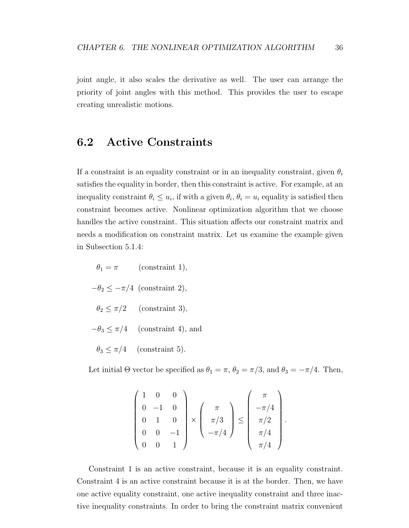joint angle, it also scales the derivative as well. The user can arrange the priority of joint angles with this method. This provides the user to escape creating unrealistic motions.

### 6.2 Active Constraints

If a constraint is an equality constraint or in an inequality constraint, given  $\theta_i$ satisfies the equality in border, then this constraint is active. For example, at an inequality constraint  $\theta_i \leq u_i$ , if with a given  $\theta_i$ ,  $\theta_i = u_i$  equality is satisfied then constraint becomes active. Nonlinear optimization algorithm that we choose handles the active constraint. This situation affects our constraint matrix and needs a modification on constraint matrix. Let us examine the example given in Subsection 5.1.4:

 $\theta_1 = \pi$  (constraint 1),  $-\theta_2 \leq -\pi/4$  (constraint 2),  $\theta_2 \leq \pi/2$  (constraint 3),  $-\theta_3 \leq \pi/4$  (constraint 4), and  $\theta_3 \leq \pi/4$  (constraint 5).

Let initial  $\Theta$  vector be specified as  $\theta_1 = \pi$ ,  $\theta_2 = \pi/3$ , and  $\theta_3 = -\pi/4$ . Then,

$$
\begin{pmatrix} 1 & 0 & 0 \\ 0 & -1 & 0 \\ 0 & 1 & 0 \\ 0 & 0 & -1 \\ 0 & 0 & 1 \end{pmatrix} \times \begin{pmatrix} \pi \\ \pi/3 \\ -\pi/4 \end{pmatrix} \le \begin{pmatrix} \pi \\ -\pi/4 \\ \pi/2 \\ \pi/4 \\ \pi/4 \end{pmatrix}.
$$

Constraint 1 is an active constraint, because it is an equality constraint. Constraint 4 is an active constraint because it is at the border. Then, we have one active equality constraint, one active inequality constraint and three inactive inequality constraints. In order to bring the constraint matrix convenient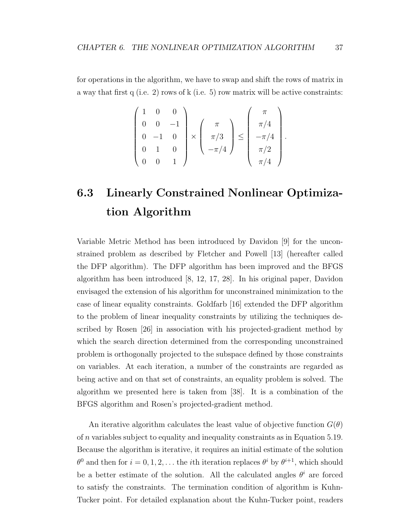for operations in the algorithm, we have to swap and shift the rows of matrix in a way that first q (i.e. 2) rows of k (i.e. 5) row matrix will be active constraints:

$$
\begin{pmatrix} 1 & 0 & 0 \\ 0 & 0 & -1 \\ 0 & -1 & 0 \\ 0 & 1 & 0 \\ 0 & 0 & 1 \end{pmatrix} \times \begin{pmatrix} \pi \\ \pi/3 \\ -\pi/4 \end{pmatrix} \leq \begin{pmatrix} \pi \\ \pi/4 \\ -\pi/4 \\ \pi/2 \\ \pi/4 \end{pmatrix}.
$$

## 6.3 Linearly Constrained Nonlinear Optimization Algorithm

Variable Metric Method has been introduced by Davidon [9] for the unconstrained problem as described by Fletcher and Powell [13] (hereafter called the DFP algorithm). The DFP algorithm has been improved and the BFGS algorithm has been introduced [8, 12, 17, 28]. In his original paper, Davidon envisaged the extension of his algorithm for unconstrained minimization to the case of linear equality constraints. Goldfarb [16] extended the DFP algorithm to the problem of linear inequality constraints by utilizing the techniques described by Rosen [26] in association with his projected-gradient method by which the search direction determined from the corresponding unconstrained problem is orthogonally projected to the subspace defined by those constraints on variables. At each iteration, a number of the constraints are regarded as being active and on that set of constraints, an equality problem is solved. The algorithm we presented here is taken from [38]. It is a combination of the BFGS algorithm and Rosen's projected-gradient method.

An iterative algorithm calculates the least value of objective function  $G(\theta)$ of n variables subject to equality and inequality constraints as in Equation 5.19. Because the algorithm is iterative, it requires an initial estimate of the solution  $\theta^0$  and then for  $i = 0, 1, 2, \ldots$  the *i*th iteration replaces  $\theta^i$  by  $\theta^{i+1}$ , which should be a better estimate of the solution. All the calculated angles  $\theta^i$  are forced to satisfy the constraints. The termination condition of algorithm is Kuhn-Tucker point. For detailed explanation about the Kuhn-Tucker point, readers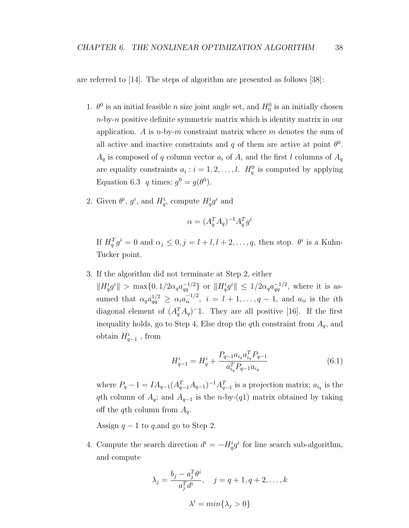are referred to [14]. The steps of algorithm are presented as follows [38]:

- 1.  $\theta^0$  is an initial feasible *n* size joint angle set, and  $H_0^0$  is an initially chosen  $n$ -by-n positive definite symmetric matrix which is identity matrix in our application. A is  $n$ -by-m constraint matrix where m denotes the sum of all active and inactive constraints and q of them are active at point  $\theta^0$ .  $A_q$  is composed of q column vector  $a_i$  of A, and the first l columns of  $A_q$ are equality constraints  $a_i : i = 1, 2, \ldots, l$ .  $H_q^0$  is computed by applying Equation 6.3 q times;  $g^0 = g(\theta^0)$ .
- 2. Given  $\theta^i$ ,  $g^i$ , and  $H_q^i$ , compute  $H_q^i g^i$  and

$$
\alpha = (A_q^T A_q)^{-1} A_q^T g^i
$$

If  $H_q^T g^i = 0$  and  $\alpha_j \leq 0, j = l + l, l + 2, \ldots, q$ , then stop.  $\theta^i$  is a Kuhn-Tucker point.

3. If the algorithm did not terminate at Step 2, either

 $||H_q^ig^i|| > \max\{0, 1/2\alpha_q a_{qq}^{-1/2}\}\$  or  $||H_q^ig^i|| \leq 1/2\alpha_q a_{qq}^{-1/2}$ , where it is assumed that  $\alpha_q a_{qq}^{1/2} \geq \alpha_i a_{ii}^{-1/2}, i = l+1,\ldots,q-1$ , and  $a_{ii}$  is the *i*th diagonal element of  $(A_q^T A_q)^{-1}$ . They are all positive [16]. If the first inequality holds, go to Step 4, Else drop the qth constraint from  $A<sub>q</sub>$ , and obtain  $H_{q-1}^i$ , from

$$
H_{q-1}^{i} = H_{q}^{i} + \frac{P_{q-1} a_{i_q} a_{i_q}^T P_{q-1}}{a_{i_q}^T P_{q-1} a_{i_q}}
$$
(6.1)

where  $P_q - 1 = IA_{q-1}(A_{q-1}^T A_{q-1})^{-1} A_{q-1}^T$  is a projection matrix;  $a_{i_q}$  is the qth column of  $A_q$ ; and  $A_{q-1}$  is the n-by-(q1) matrix obtained by taking off the qth column from  $A_q$ .

Assign  $q-1$  to q, and go to Step 2.

4. Compute the search direction  $d^i = -H_q^i g^i$  for line search sub-algorithm, and compute

$$
\lambda_j = \frac{b_j - a_j^T \theta^i}{a_j^T d^i}, \quad j = q + 1, q + 2, \dots, k
$$

$$
\lambda^i = \min\{\lambda_j > 0\}
$$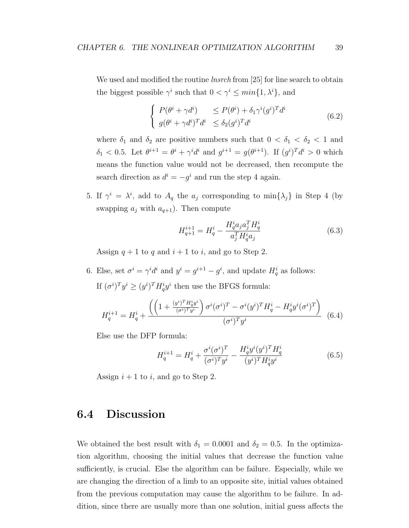We used and modified the routine *lnsrch* from [25] for line search to obtain the biggest possible  $\gamma^i$  such that  $0 < \gamma^i \leq min\{1, \lambda^i\}$ , and

$$
\begin{cases}\nP(\theta^i + \gamma d^i) & \le P(\theta^i) + \delta_1 \gamma^i (g^i)^T d^i \\
g(\theta^i + \gamma d^i)^T d^i & \le \delta_2 (g^i)^T d^i\n\end{cases} \tag{6.2}
$$

where  $\delta_1$  and  $\delta_2$  are positive numbers such that  $0 < \delta_1 < \delta_2 < 1$  and  $\delta_1 < 0.5$ . Let  $\theta^{i+1} = \theta^i + \gamma^i d^i$  and  $g^{i+1} = g(\theta^{i+1})$ . If  $(g^i)^T d^i > 0$  which means the function value would not be decreased, then recompute the search direction as  $d^i = -g^i$  and run the step 4 again.

5. If  $\gamma^i = \lambda^i$ , add to  $A_q$  the  $a_j$  corresponding to min $\{\lambda_j\}$  in Step 4 (by swapping  $a_i$  with  $a_{q+1}$ ). Then compute

$$
H_{q+1}^{i+1} = H_q^i - \frac{H_q^i a_j a_j^T H_q^i}{a_j^T H_q^i a_j} \tag{6.3}
$$

Assign  $q + 1$  to q and  $i + 1$  to i, and go to Step 2.

6. Else, set  $\sigma^i = \gamma^i d^i$  and  $y^i = g^{i+1} - g^i$ , and update  $H_q^i$  as follows: If  $(\sigma^i)^T y^i \ge (y^i)^T H_q^i y^i$  then use the BFGS formula:

$$
H_{q}^{i+1} = H_{q}^{i} + \frac{\left( \left( 1 + \frac{(y^{i})^{T} H_{q}^{i} y^{i}}{(\sigma^{i})^{T} y^{i}} \right) \sigma^{i} (\sigma^{i})^{T} - \sigma^{i} (y^{i})^{T} H_{q}^{i} - H_{q}^{i} y^{i} (\sigma^{i})^{T} \right)}{(\sigma^{i})^{T} y^{i}} \tag{6.4}
$$

Else use the DFP formula:

$$
H_q^{i+1} = H_q^i + \frac{\sigma^i (\sigma^i)^T}{(\sigma^i)^T y^i} - \frac{H_q^i y^i (y^i)^T H_q^i}{(y^i)^T H_q^i y^i}
$$
(6.5)

Assign  $i + 1$  to i, and go to Step 2.

### 6.4 Discussion

We obtained the best result with  $\delta_1 = 0.0001$  and  $\delta_2 = 0.5$ . In the optimization algorithm, choosing the initial values that decrease the function value sufficiently, is crucial. Else the algorithm can be failure. Especially, while we are changing the direction of a limb to an opposite site, initial values obtained from the previous computation may cause the algorithm to be failure. In addition, since there are usually more than one solution, initial guess affects the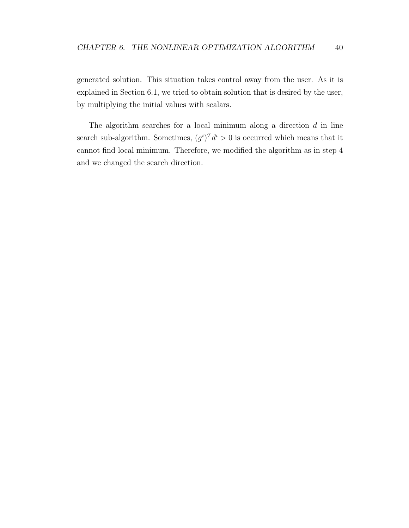generated solution. This situation takes control away from the user. As it is explained in Section 6.1, we tried to obtain solution that is desired by the user, by multiplying the initial values with scalars.

The algorithm searches for a local minimum along a direction  $d$  in line search sub-algorithm. Sometimes,  $(g^{i})^{T} d^{i} > 0$  is occurred which means that it cannot find local minimum. Therefore, we modified the algorithm as in step 4 and we changed the search direction.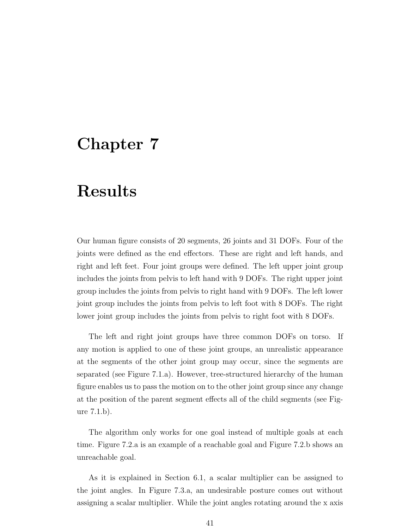## Chapter 7

## Results

Our human figure consists of 20 segments, 26 joints and 31 DOFs. Four of the joints were defined as the end effectors. These are right and left hands, and right and left feet. Four joint groups were defined. The left upper joint group includes the joints from pelvis to left hand with 9 DOFs. The right upper joint group includes the joints from pelvis to right hand with 9 DOFs. The left lower joint group includes the joints from pelvis to left foot with 8 DOFs. The right lower joint group includes the joints from pelvis to right foot with 8 DOFs.

The left and right joint groups have three common DOFs on torso. If any motion is applied to one of these joint groups, an unrealistic appearance at the segments of the other joint group may occur, since the segments are separated (see Figure 7.1.a). However, tree-structured hierarchy of the human figure enables us to pass the motion on to the other joint group since any change at the position of the parent segment effects all of the child segments (see Figure 7.1.b).

The algorithm only works for one goal instead of multiple goals at each time. Figure 7.2.a is an example of a reachable goal and Figure 7.2.b shows an unreachable goal.

As it is explained in Section 6.1, a scalar multiplier can be assigned to the joint angles. In Figure 7.3.a, an undesirable posture comes out without assigning a scalar multiplier. While the joint angles rotating around the x axis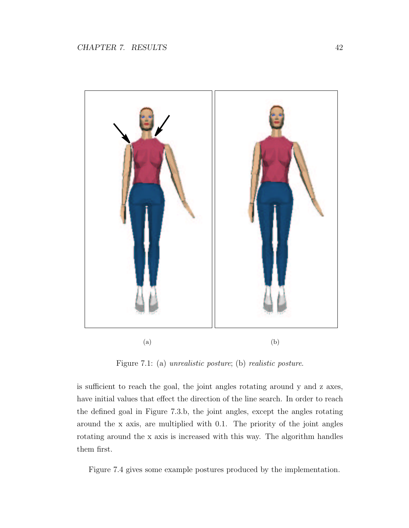

Figure 7.1: (a) unrealistic posture; (b) realistic posture.

is sufficient to reach the goal, the joint angles rotating around y and z axes, have initial values that effect the direction of the line search. In order to reach the defined goal in Figure 7.3.b, the joint angles, except the angles rotating around the x axis, are multiplied with 0.1. The priority of the joint angles rotating around the x axis is increased with this way. The algorithm handles them first.

Figure 7.4 gives some example postures produced by the implementation.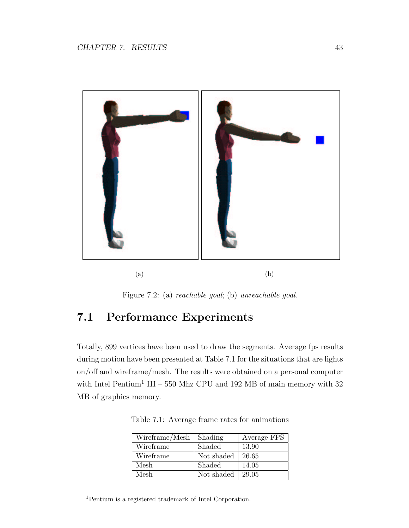

Figure 7.2: (a) reachable goal; (b) unreachable goal.

## 7.1 Performance Experiments

Totally, 899 vertices have been used to draw the segments. Average fps results during motion have been presented at Table 7.1 for the situations that are lights on/off and wireframe/mesh. The results were obtained on a personal computer with Intel Pentium<sup>1</sup> III – 550 Mhz CPU and 192 MB of main memory with 32 MB of graphics memory.

| Wireframe/Mesh | Shading    | Average FPS |
|----------------|------------|-------------|
| Wireframe      | Shaded     | 13.90       |
| Wireframe      | Not shaded | 26.65       |
| Mesh           | Shaded     | 14.05       |
| Mesh           | Not shaded | 29.05       |

Table 7.1: Average frame rates for animations

<sup>1</sup>Pentium is a registered trademark of Intel Corporation.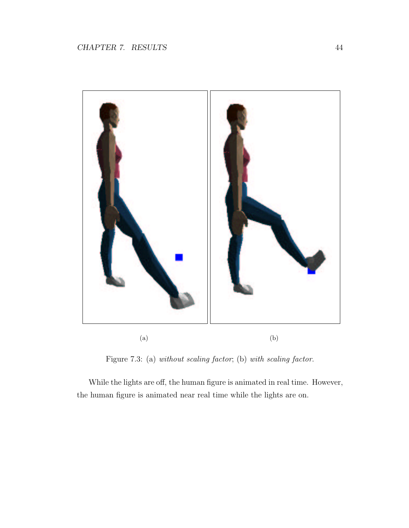

Figure 7.3: (a) without scaling factor; (b) with scaling factor.

While the lights are off, the human figure is animated in real time. However, the human figure is animated near real time while the lights are on.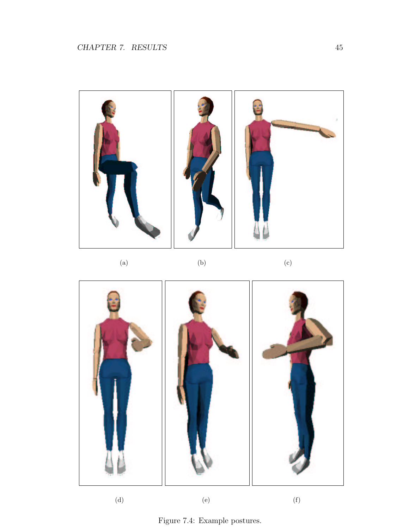

(a)  $(b)$  (c)



(d)  $(e)$  (f)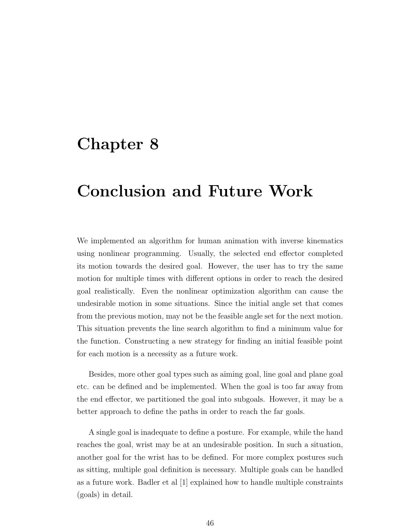## Chapter 8

## Conclusion and Future Work

We implemented an algorithm for human animation with inverse kinematics using nonlinear programming. Usually, the selected end effector completed its motion towards the desired goal. However, the user has to try the same motion for multiple times with different options in order to reach the desired goal realistically. Even the nonlinear optimization algorithm can cause the undesirable motion in some situations. Since the initial angle set that comes from the previous motion, may not be the feasible angle set for the next motion. This situation prevents the line search algorithm to find a minimum value for the function. Constructing a new strategy for finding an initial feasible point for each motion is a necessity as a future work.

Besides, more other goal types such as aiming goal, line goal and plane goal etc. can be defined and be implemented. When the goal is too far away from the end effector, we partitioned the goal into subgoals. However, it may be a better approach to define the paths in order to reach the far goals.

A single goal is inadequate to define a posture. For example, while the hand reaches the goal, wrist may be at an undesirable position. In such a situation, another goal for the wrist has to be defined. For more complex postures such as sitting, multiple goal definition is necessary. Multiple goals can be handled as a future work. Badler et al [1] explained how to handle multiple constraints (goals) in detail.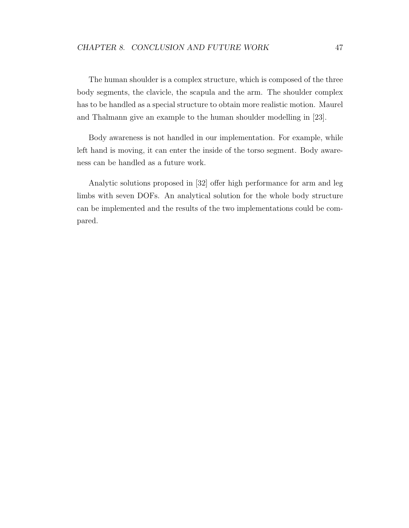The human shoulder is a complex structure, which is composed of the three body segments, the clavicle, the scapula and the arm. The shoulder complex has to be handled as a special structure to obtain more realistic motion. Maurel and Thalmann give an example to the human shoulder modelling in [23].

Body awareness is not handled in our implementation. For example, while left hand is moving, it can enter the inside of the torso segment. Body awareness can be handled as a future work.

Analytic solutions proposed in [32] offer high performance for arm and leg limbs with seven DOFs. An analytical solution for the whole body structure can be implemented and the results of the two implementations could be compared.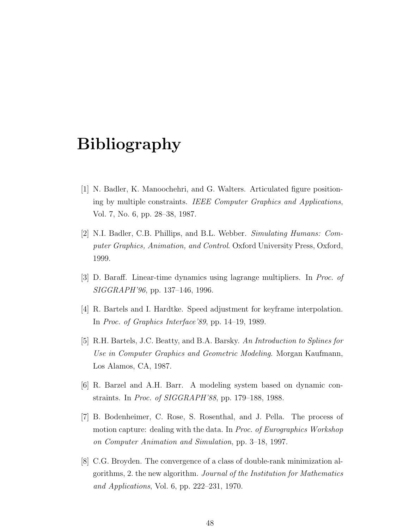## Bibliography

- [1] N. Badler, K. Manoochehri, and G. Walters. Articulated figure positioning by multiple constraints. IEEE Computer Graphics and Applications, Vol. 7, No. 6, pp. 28–38, 1987.
- [2] N.I. Badler, C.B. Phillips, and B.L. Webber. Simulating Humans: Computer Graphics, Animation, and Control. Oxford University Press, Oxford, 1999.
- [3] D. Baraff. Linear-time dynamics using lagrange multipliers. In Proc. of SIGGRAPH'96, pp. 137–146, 1996.
- [4] R. Bartels and I. Hardtke. Speed adjustment for keyframe interpolation. In Proc. of Graphics Interface'89, pp. 14–19, 1989.
- [5] R.H. Bartels, J.C. Beatty, and B.A. Barsky. An Introduction to Splines for Use in Computer Graphics and Geometric Modeling. Morgan Kaufmann, Los Alamos, CA, 1987.
- [6] R. Barzel and A.H. Barr. A modeling system based on dynamic constraints. In Proc. of SIGGRAPH'88, pp. 179–188, 1988.
- [7] B. Bodenheimer, C. Rose, S. Rosenthal, and J. Pella. The process of motion capture: dealing with the data. In Proc. of Eurographics Workshop on Computer Animation and Simulation, pp. 3–18, 1997.
- [8] C.G. Broyden. The convergence of a class of double-rank minimization algorithms, 2. the new algorithm. Journal of the Institution for Mathematics and Applications, Vol. 6, pp. 222–231, 1970.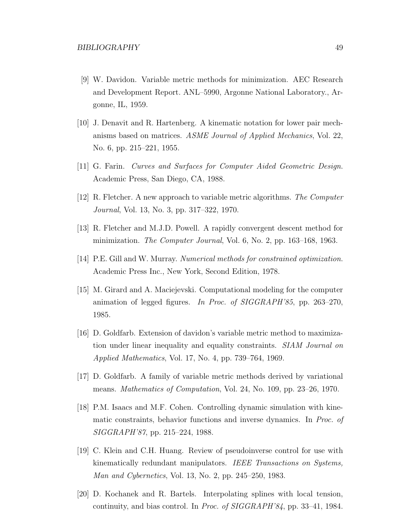- [9] W. Davidon. Variable metric methods for minimization. AEC Research and Development Report. ANL–5990, Argonne National Laboratory., Argonne, IL, 1959.
- [10] J. Denavit and R. Hartenberg. A kinematic notation for lower pair mechanisms based on matrices. ASME Journal of Applied Mechanics, Vol. 22, No. 6, pp. 215–221, 1955.
- [11] G. Farin. Curves and Surfaces for Computer Aided Geometric Design. Academic Press, San Diego, CA, 1988.
- [12] R. Fletcher. A new approach to variable metric algorithms. The Computer Journal, Vol. 13, No. 3, pp. 317–322, 1970.
- [13] R. Fletcher and M.J.D. Powell. A rapidly convergent descent method for minimization. The Computer Journal, Vol. 6, No. 2, pp. 163–168, 1963.
- [14] P.E. Gill and W. Murray. Numerical methods for constrained optimization. Academic Press Inc., New York, Second Edition, 1978.
- [15] M. Girard and A. Maciejevski. Computational modeling for the computer animation of legged figures. In Proc. of SIGGRAPH'85, pp. 263–270, 1985.
- [16] D. Goldfarb. Extension of davidon's variable metric method to maximization under linear inequality and equality constraints. SIAM Journal on Applied Mathematics, Vol. 17, No. 4, pp. 739–764, 1969.
- [17] D. Goldfarb. A family of variable metric methods derived by variational means. Mathematics of Computation, Vol. 24, No. 109, pp. 23–26, 1970.
- [18] P.M. Isaacs and M.F. Cohen. Controlling dynamic simulation with kinematic constraints, behavior functions and inverse dynamics. In Proc. of SIGGRAPH'87, pp. 215–224, 1988.
- [19] C. Klein and C.H. Huang. Review of pseudoinverse control for use with kinematically redundant manipulators. IEEE Transactions on Systems, Man and Cybernetics, Vol. 13, No. 2, pp. 245–250, 1983.
- [20] D. Kochanek and R. Bartels. Interpolating splines with local tension, continuity, and bias control. In Proc. of SIGGRAPH'84, pp. 33–41, 1984.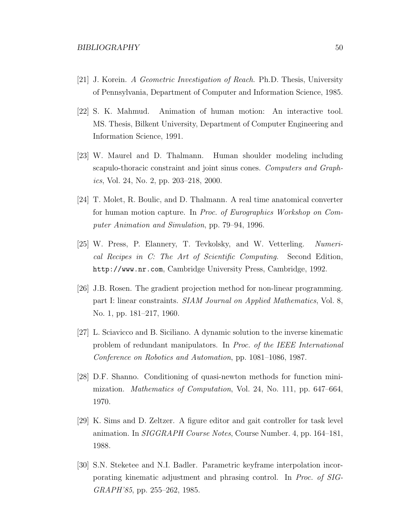- [21] J. Korein. A Geometric Investigation of Reach. Ph.D. Thesis, University of Pennsylvania, Department of Computer and Information Science, 1985.
- [22] S. K. Mahmud. Animation of human motion: An interactive tool. MS. Thesis, Bilkent University, Department of Computer Engineering and Information Science, 1991.
- [23] W. Maurel and D. Thalmann. Human shoulder modeling including scapulo-thoracic constraint and joint sinus cones. Computers and Graphics, Vol. 24, No. 2, pp. 203–218, 2000.
- [24] T. Molet, R. Boulic, and D. Thalmann. A real time anatomical converter for human motion capture. In Proc. of Eurographics Workshop on Computer Animation and Simulation, pp. 79–94, 1996.
- [25] W. Press, P. Elannery, T. Tevkolsky, and W. Vetterling. Numerical Recipes in C: The Art of Scientific Computing. Second Edition, http://www.nr.com, Cambridge University Press, Cambridge, 1992.
- [26] J.B. Rosen. The gradient projection method for non-linear programming. part I: linear constraints. SIAM Journal on Applied Mathematics, Vol. 8, No. 1, pp. 181–217, 1960.
- [27] L. Sciavicco and B. Siciliano. A dynamic solution to the inverse kinematic problem of redundant manipulators. In Proc. of the IEEE International Conference on Robotics and Automation, pp. 1081–1086, 1987.
- [28] D.F. Shanno. Conditioning of quasi-newton methods for function minimization. Mathematics of Computation, Vol. 24, No. 111, pp. 647–664, 1970.
- [29] K. Sims and D. Zeltzer. A figure editor and gait controller for task level animation. In SIGGRAPH Course Notes, Course Number. 4, pp. 164–181, 1988.
- [30] S.N. Steketee and N.I. Badler. Parametric keyframe interpolation incorporating kinematic adjustment and phrasing control. In Proc. of SIG-GRAPH'85, pp. 255–262, 1985.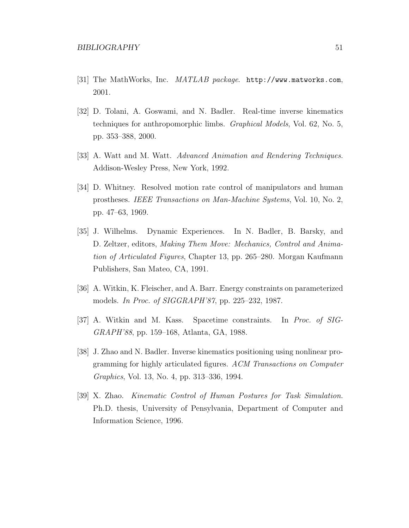- [31] The MathWorks, Inc. MATLAB package. http://www.matworks.com, 2001.
- [32] D. Tolani, A. Goswami, and N. Badler. Real-time inverse kinematics techniques for anthropomorphic limbs. Graphical Models, Vol. 62, No. 5, pp. 353–388, 2000.
- [33] A. Watt and M. Watt. Advanced Animation and Rendering Techniques. Addison-Wesley Press, New York, 1992.
- [34] D. Whitney. Resolved motion rate control of manipulators and human prostheses. IEEE Transactions on Man-Machine Systems, Vol. 10, No. 2, pp. 47–63, 1969.
- [35] J. Wilhelms. Dynamic Experiences. In N. Badler, B. Barsky, and D. Zeltzer, editors, Making Them Move: Mechanics, Control and Animation of Articulated Figures, Chapter 13, pp. 265–280. Morgan Kaufmann Publishers, San Mateo, CA, 1991.
- [36] A. Witkin, K. Fleischer, and A. Barr. Energy constraints on parameterized models. In Proc. of SIGGRAPH'87, pp. 225–232, 1987.
- [37] A. Witkin and M. Kass. Spacetime constraints. In Proc. of SIG-GRAPH'88, pp. 159–168, Atlanta, GA, 1988.
- [38] J. Zhao and N. Badler. Inverse kinematics positioning using nonlinear programming for highly articulated figures. ACM Transactions on Computer Graphics, Vol. 13, No. 4, pp. 313–336, 1994.
- [39] X. Zhao. Kinematic Control of Human Postures for Task Simulation. Ph.D. thesis, University of Pensylvania, Department of Computer and Information Science, 1996.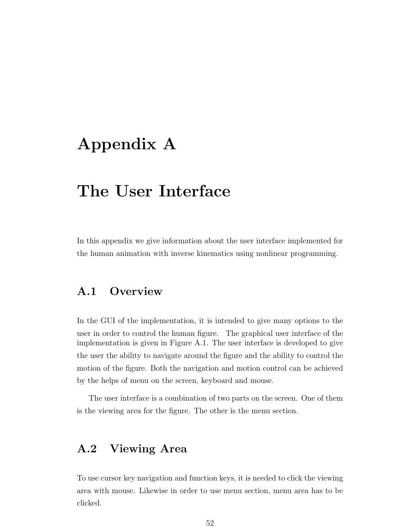## Appendix A

## The User Interface

In this appendix we give information about the user interface implemented for the human animation with inverse kinematics using nonlinear programming.

### A.1 Overview

In the GUI of the implementation, it is intended to give many options to the user in order to control the human figure. The graphical user interface of the implementation is given in Figure A.1. The user interface is developed to give the user the ability to navigate around the figure and the ability to control the motion of the figure. Both the navigation and motion control can be achieved by the helps of menu on the screen, keyboard and mouse.

The user interface is a combination of two parts on the screen. One of them is the viewing area for the figure. The other is the menu section.

### A.2 Viewing Area

To use cursor key navigation and function keys, it is needed to click the viewing area with mouse. Likewise in order to use menu section, menu area has to be clicked.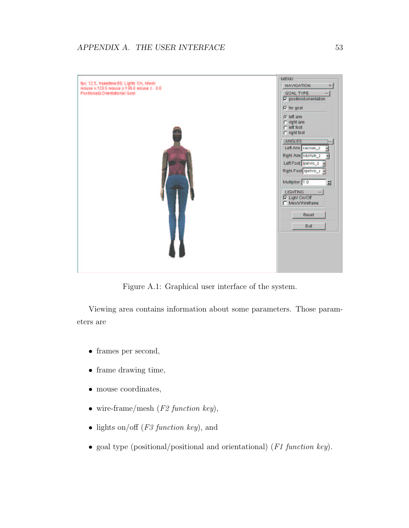

Figure A.1: Graphical user interface of the system.

Viewing area contains information about some parameters. Those parameters are

- frames per second,
- frame drawing time,
- mouse coordinates,
- wire-frame/mesh  $(F2 \ function \ key)$ ,
- lights on/off  $(F3 \ function \ key)$ , and
- goal type (positional/positional and orientational) (F1 function key).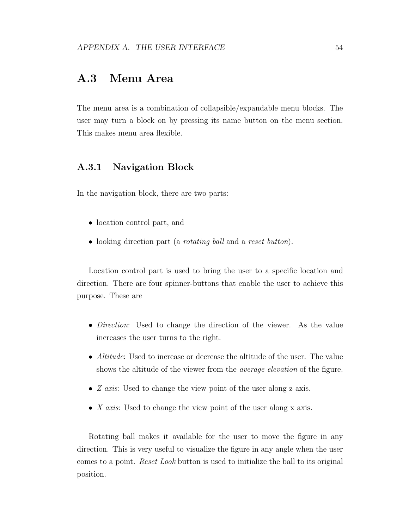### A.3 Menu Area

The menu area is a combination of collapsible/expandable menu blocks. The user may turn a block on by pressing its name button on the menu section. This makes menu area flexible.

#### A.3.1 Navigation Block

In the navigation block, there are two parts:

- location control part, and
- looking direction part (a *rotating ball* and a *reset button*).

Location control part is used to bring the user to a specific location and direction. There are four spinner-buttons that enable the user to achieve this purpose. These are

- *Direction*: Used to change the direction of the viewer. As the value increases the user turns to the right.
- *Altitude*: Used to increase or decrease the altitude of the user. The value shows the altitude of the viewer from the *average elevation* of the figure.
- Z axis: Used to change the view point of the user along z axis.
- X axis: Used to change the view point of the user along x axis.

Rotating ball makes it available for the user to move the figure in any direction. This is very useful to visualize the figure in any angle when the user comes to a point. Reset Look button is used to initialize the ball to its original position.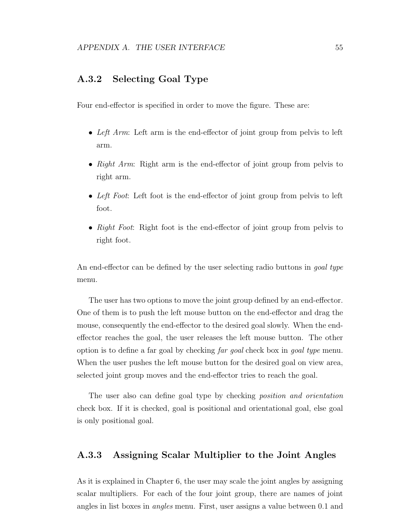#### A.3.2 Selecting Goal Type

Four end-effector is specified in order to move the figure. These are:

- Left Arm: Left arm is the end-effector of joint group from pelvis to left arm.
- Right Arm: Right arm is the end-effector of joint group from pelvis to right arm.
- Left Foot: Left foot is the end-effector of joint group from pelvis to left foot.
- Right Foot: Right foot is the end-effector of joint group from pelvis to right foot.

An end-effector can be defined by the user selecting radio buttons in *goal type* menu.

The user has two options to move the joint group defined by an end-effector. One of them is to push the left mouse button on the end-effector and drag the mouse, consequently the end-effector to the desired goal slowly. When the endeffector reaches the goal, the user releases the left mouse button. The other option is to define a far goal by checking far goal check box in goal type menu. When the user pushes the left mouse button for the desired goal on view area, selected joint group moves and the end-effector tries to reach the goal.

The user also can define goal type by checking position and orientation check box. If it is checked, goal is positional and orientational goal, else goal is only positional goal.

#### A.3.3 Assigning Scalar Multiplier to the Joint Angles

As it is explained in Chapter 6, the user may scale the joint angles by assigning scalar multipliers. For each of the four joint group, there are names of joint angles in list boxes in angles menu. First, user assigns a value between 0.1 and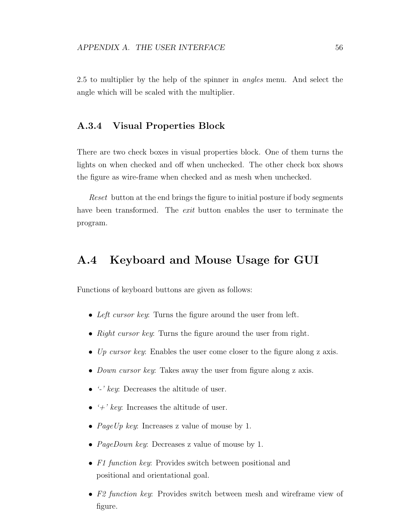2.5 to multiplier by the help of the spinner in angles menu. And select the angle which will be scaled with the multiplier.

#### A.3.4 Visual Properties Block

There are two check boxes in visual properties block. One of them turns the lights on when checked and off when unchecked. The other check box shows the figure as wire-frame when checked and as mesh when unchecked.

Reset button at the end brings the figure to initial posture if body segments have been transformed. The *exit* button enables the user to terminate the program.

### A.4 Keyboard and Mouse Usage for GUI

Functions of keyboard buttons are given as follows:

- Left cursor key: Turns the figure around the user from left.
- Right cursor key: Turns the figure around the user from right.
- Up cursor key: Enables the user come closer to the figure along z axis.
- Down cursor key: Takes away the user from figure along z axis.
- $\bullet$  '-' key: Decreases the altitude of user.
- $\rightarrow ' \div' \text{ } key$ : Increases the altitude of user.
- *PageUp key:* Increases z value of mouse by 1.
- *PageDown key:* Decreases z value of mouse by 1.
- F1 function key: Provides switch between positional and positional and orientational goal.
- F2 function key: Provides switch between mesh and wireframe view of figure.